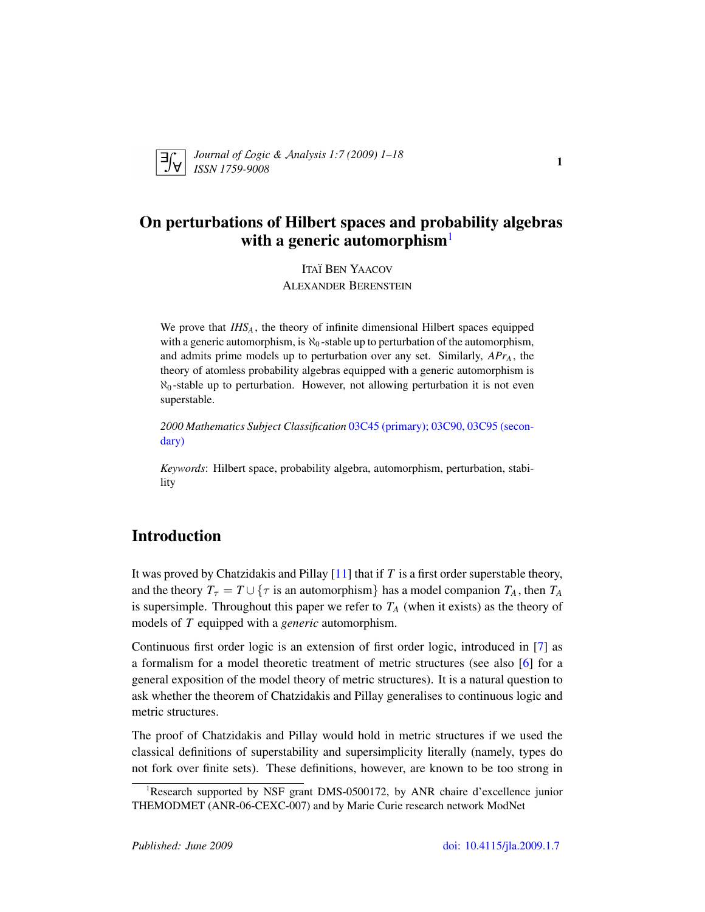

*Journal of* L*ogic &* A*nalysis 1:7 (2009) 1–18 ISSN 1759-9008* <sup>1</sup>

# On perturbations of Hilbert spaces and probability algebras with a generic automorphism $<sup>1</sup>$  $<sup>1</sup>$  $<sup>1</sup>$ </sup>

ITAÏ BEN YAACOV ALEXANDER BERENSTEIN

We prove that *IHS<sup>A</sup>* , the theory of infinite dimensional Hilbert spaces equipped with a generic automorphism, is  $\aleph_0$ -stable up to perturbation of the automorphism, and admits prime models up to perturbation over any set. Similarly, *APr<sup>A</sup>* , the theory of atomless probability algebras equipped with a generic automorphism is  $\aleph_0$ -stable up to perturbation. However, not allowing perturbation it is not even superstable.

*2000 Mathematics Subject Classification* [03C45 \(primary\); 03C90, 03C95 \(secon](http://www.ams.org/mathscinet/search/mscdoc.html?code=03C45,(03C90, 03C95))[dary\)](http://www.ams.org/mathscinet/search/mscdoc.html?code=03C45,(03C90, 03C95))

*Keywords*: Hilbert space, probability algebra, automorphism, perturbation, stability

# Introduction

It was proved by Chatzidakis and Pillay [\[11\]](#page-16-0) that if *T* is a first order superstable theory, and the theory  $T<sub>\tau</sub> = T \cup \{ \tau \text{ is an automorphism} \}$  has a model companion  $T_A$ , then  $T_A$ is supersimple. Throughout this paper we refer to  $T_A$  (when it exists) as the theory of models of *T* equipped with a *generic* automorphism.

Continuous first order logic is an extension of first order logic, introduced in [\[7\]](#page-16-1) as a formalism for a model theoretic treatment of metric structures (see also [\[6\]](#page-16-2) for a general exposition of the model theory of metric structures). It is a natural question to ask whether the theorem of Chatzidakis and Pillay generalises to continuous logic and metric structures.

The proof of Chatzidakis and Pillay would hold in metric structures if we used the classical definitions of superstability and supersimplicity literally (namely, types do not fork over finite sets). These definitions, however, are known to be too strong in

<span id="page-0-0"></span><sup>&</sup>lt;sup>1</sup>Research supported by NSF grant DMS-0500172, by ANR chaire d'excellence junior THEMODMET (ANR-06-CEXC-007) and by Marie Curie research network ModNet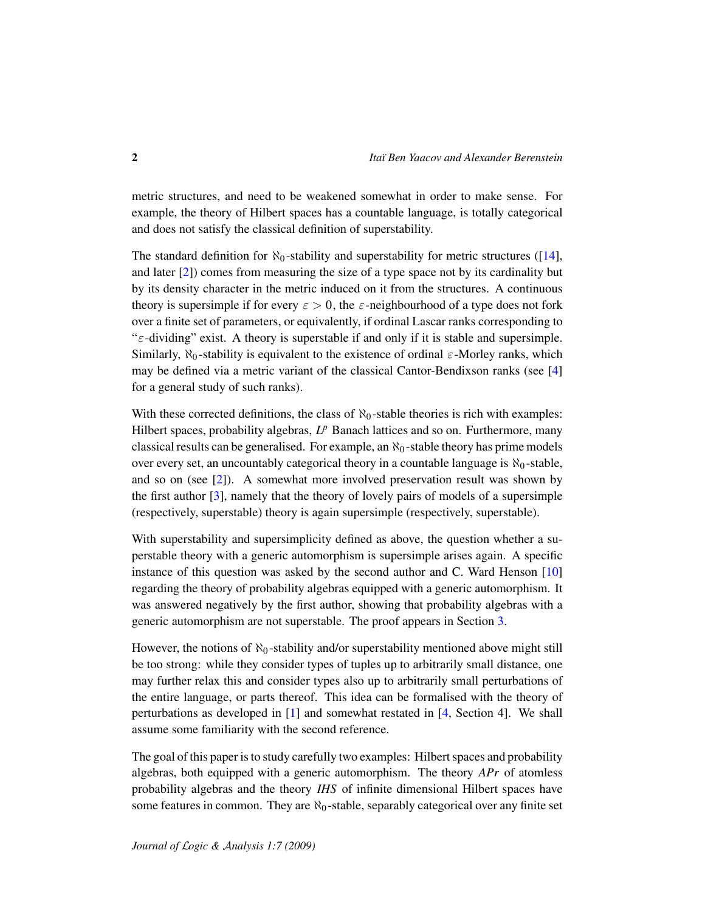metric structures, and need to be weakened somewhat in order to make sense. For example, the theory of Hilbert spaces has a countable language, is totally categorical and does not satisfy the classical definition of superstability.

The standard definition for  $\aleph_0$ -stability and superstability for metric structures ([\[14\]](#page-16-3), and later [\[2\]](#page-16-4)) comes from measuring the size of a type space not by its cardinality but by its density character in the metric induced on it from the structures. A continuous theory is supersimple if for every  $\varepsilon > 0$ , the  $\varepsilon$ -neighbourhood of a type does not fork over a finite set of parameters, or equivalently, if ordinal Lascar ranks corresponding to "ε-dividing" exist. A theory is superstable if and only if it is stable and supersimple. Similarly,  $\aleph_0$ -stability is equivalent to the existence of ordinal  $\varepsilon$ -Morley ranks, which may be defined via a metric variant of the classical Cantor-Bendixson ranks (see [\[4\]](#page-16-5) for a general study of such ranks).

With these corrected definitions, the class of  $\aleph_0$ -stable theories is rich with examples: Hilbert spaces, probability algebras, L<sup>p</sup> Banach lattices and so on. Furthermore, many classical results can be generalised. For example, an  $\aleph_0$ -stable theory has prime models over every set, an uncountably categorical theory in a countable language is  $\aleph_0$ -stable, and so on (see [\[2\]](#page-16-4)). A somewhat more involved preservation result was shown by the first author [\[3\]](#page-16-6), namely that the theory of lovely pairs of models of a supersimple (respectively, superstable) theory is again supersimple (respectively, superstable).

With superstability and supersimplicity defined as above, the question whether a superstable theory with a generic automorphism is supersimple arises again. A specific instance of this question was asked by the second author and C. Ward Henson [\[10\]](#page-16-7) regarding the theory of probability algebras equipped with a generic automorphism. It was answered negatively by the first author, showing that probability algebras with a generic automorphism are not superstable. The proof appears in Section [3.](#page-10-0)

However, the notions of  $\aleph_0$ -stability and/or superstability mentioned above might still be too strong: while they consider types of tuples up to arbitrarily small distance, one may further relax this and consider types also up to arbitrarily small perturbations of the entire language, or parts thereof. This idea can be formalised with the theory of perturbations as developed in [\[1\]](#page-16-8) and somewhat restated in [\[4,](#page-16-5) Section 4]. We shall assume some familiarity with the second reference.

The goal of this paper is to study carefully two examples: Hilbert spaces and probability algebras, both equipped with a generic automorphism. The theory *APr* of atomless probability algebras and the theory *IHS* of infinite dimensional Hilbert spaces have some features in common. They are  $\aleph_0$ -stable, separably categorical over any finite set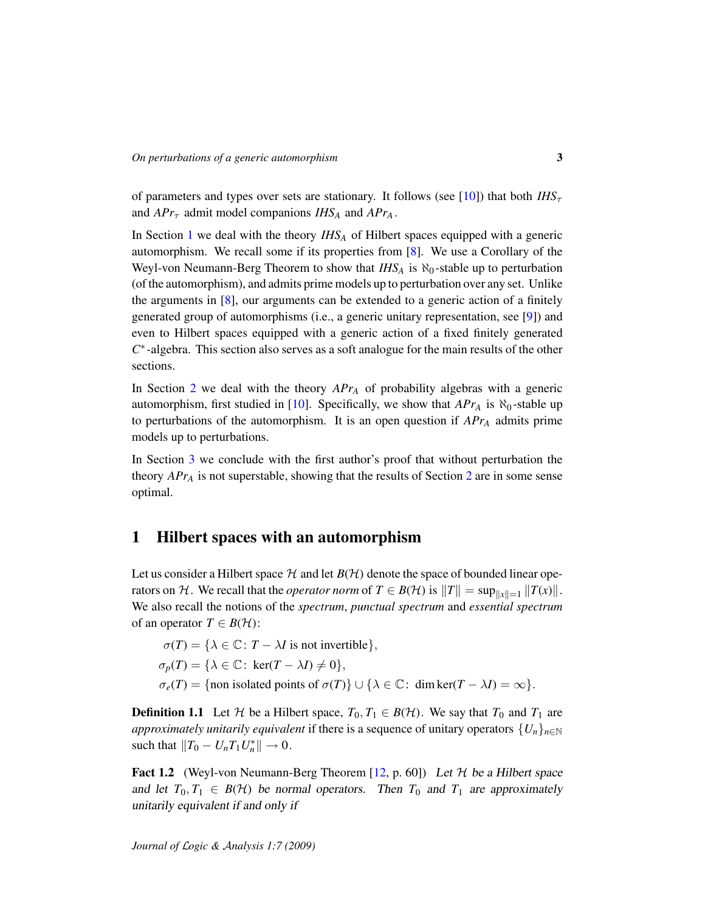of parameters and types over sets are stationary. It follows (see [\[10\]](#page-16-7)) that both  $IHS_{\tau}$ and  $APr<sub>\tau</sub>$  admit model companions  $IHS<sub>A</sub>$  and  $APr<sub>A</sub>$ .

In Section [1](#page-2-0) we deal with the theory *IHS<sup>A</sup>* of Hilbert spaces equipped with a generic automorphism. We recall some if its properties from [\[8\]](#page-16-9). We use a Corollary of the Weyl-von Neumann-Berg Theorem to show that  $IHS_A$  is  $\aleph_0$ -stable up to perturbation (of the automorphism), and admits prime models up to perturbation over any set. Unlike the arguments in  $[8]$ , our arguments can be extended to a generic action of a finitely generated group of automorphisms (i.e., a generic unitary representation, see [\[9\]](#page-16-10)) and even to Hilbert spaces equipped with a generic action of a fixed finitely generated *C* ∗ -algebra. This section also serves as a soft analogue for the main results of the other sections.

In Section [2](#page-7-0) we deal with the theory *APr<sup>A</sup>* of probability algebras with a generic automorphism, first studied in [\[10\]](#page-16-7). Specifically, we show that  $APr_A$  is  $\aleph_0$ -stable up to perturbations of the automorphism. It is an open question if *APr<sup>A</sup>* admits prime models up to perturbations.

In Section [3](#page-10-0) we conclude with the first author's proof that without perturbation the theory *APr<sup>A</sup>* is not superstable, showing that the results of Section [2](#page-7-0) are in some sense optimal.

# <span id="page-2-0"></span>1 Hilbert spaces with an automorphism

Let us consider a Hilbert space  $H$  and let  $B(H)$  denote the space of bounded linear operators on H. We recall that the *operator norm* of  $T \in B(H)$  is  $||T|| = \sup_{||x||=1} ||T(x)||$ . We also recall the notions of the *spectrum*, *punctual spectrum* and *essential spectrum* of an operator  $T \in B(H)$ :

 $\sigma(T) = {\lambda \in \mathbb{C} : T - \lambda I \text{ is not invertible}},$  $\sigma_p(T) = {\lambda \in \mathbb{C} : \ker(T - \lambda I) \neq 0},$  $\sigma_e(T) = \{\text{non isolated points of }\sigma(T)\} \cup \{\lambda \in \mathbb{C} : \dim \ker(T - \lambda I) = \infty\}.$ 

**Definition 1.1** Let H be a Hilbert space,  $T_0, T_1 \in B(H)$ . We say that  $T_0$  and  $T_1$  are *approximately unitarily equivalent* if there is a sequence of unitary operators  $\{U_n\}_{n\in\mathbb{N}}$ such that  $||T_0 - U_n T_1 U_n^*|| \to 0$ .

<span id="page-2-1"></span>**Fact 1.2** (Weyl-von Neumann-Berg Theorem [\[12,](#page-16-11) p. 60]) Let  $H$  be a Hilbert space and let  $T_0, T_1 \in B(H)$  be normal operators. Then  $T_0$  and  $T_1$  are approximately unitarily equivalent if and only if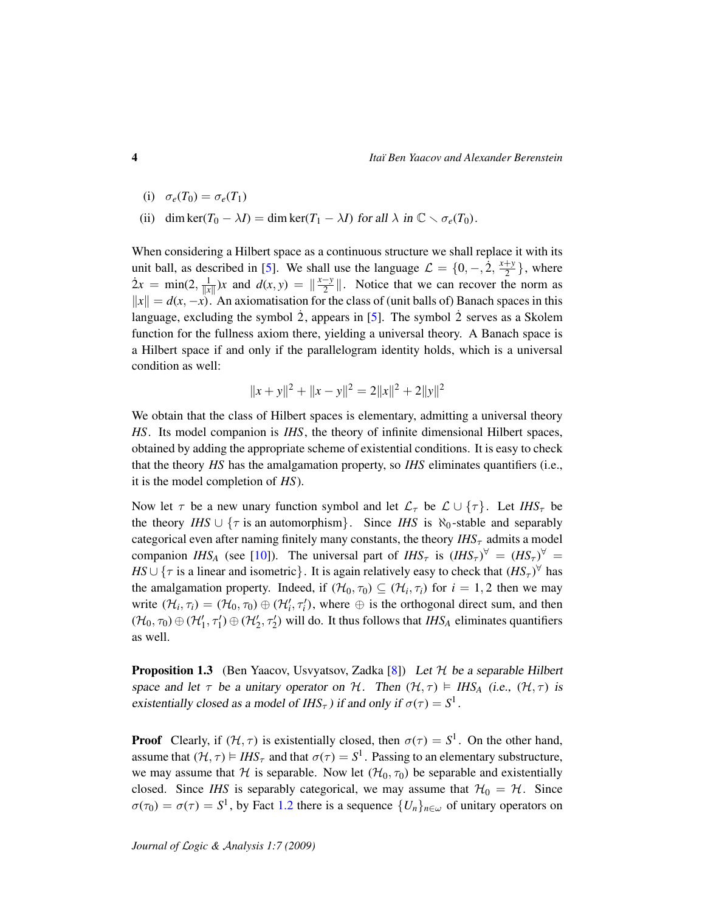- (i)  $\sigma_e(T_0) = \sigma_e(T_1)$
- (ii) dim ker( $T_0 \lambda I$ ) = dim ker( $T_1 \lambda I$ ) for all  $\lambda$  in  $\mathbb{C} \setminus \sigma_e(T_0)$ .

When considering a Hilbert space as a continuous structure we shall replace it with its unit ball, as described in [\[5\]](#page-16-12). We shall use the language  $\mathcal{L} = \{0, -1, 2, \frac{x+y}{2}\}$  $\frac{+y}{2}$ , where  $\dot{2}x = \min(2, \frac{1}{\|x\|})x$  and  $d(x, y) = \frac{x-y}{2}$  $\frac{-y}{2}$ . Notice that we can recover the norm as  $\|x\| = d(x, -x)$ . An axiomatisation for the class of (unit balls of) Banach spaces in this language, excluding the symbol  $\dot{2}$ , appears in [[5\]](#page-16-12). The symbol  $\dot{2}$  serves as a Skolem function for the fullness axiom there, yielding a universal theory. A Banach space is a Hilbert space if and only if the parallelogram identity holds, which is a universal condition as well:

$$
||x + y||2 + ||x - y||2 = 2||x||2 + 2||y||2
$$

We obtain that the class of Hilbert spaces is elementary, admitting a universal theory *HS*. Its model companion is *IHS*, the theory of infinite dimensional Hilbert spaces, obtained by adding the appropriate scheme of existential conditions. It is easy to check that the theory *HS* has the amalgamation property, so *IHS* eliminates quantifiers (i.e., it is the model completion of *HS*).

Now let  $\tau$  be a new unary function symbol and let  $\mathcal{L}_{\tau}$  be  $\mathcal{L} \cup {\tau}$ . Let *IHS*<sub> $\tau$ </sub> be the theory *IHS* ∪  $\{\tau \text{ is an automorphism}\}\$ . Since *IHS* is  $\aleph_0$ -stable and separably categorical even after naming finitely many constants, the theory  $IHS_{\tau}$  admits a model companion *IHS<sub>A</sub>* (see [\[10\]](#page-16-7)). The universal part of *IHS*<sub> $\tau$ </sub> is  $(IHS_{\tau})^{\forall} = (HS_{\tau})^{\forall} =$ *HS* ∪ { $\tau$  is a linear and isometric}. It is again relatively easy to check that  $(HS_{\tau})^{\forall}$  has the amalgamation property. Indeed, if  $(\mathcal{H}_0, \tau_0) \subseteq (\mathcal{H}_i, \tau_i)$  for  $i = 1, 2$  then we may write  $(\mathcal{H}_i, \tau_i) = (\mathcal{H}_0, \tau_0) \oplus (\mathcal{H}'_i, \tau'_i)$ , where  $\oplus$  is the orthogonal direct sum, and then  $(\mathcal{H}_0, \tau_0) \oplus (\mathcal{H}'_1, \tau'_1) \oplus (\mathcal{H}'_2, \tau'_2)$  will do. It thus follows that *IHS*<sub>*A*</sub> eliminates quantifiers as well.

<span id="page-3-0"></span>**Proposition 1.3** (Ben Yaacov, Usvyatsov, Zadka  $[8]$ ) Let  $H$  be a separable Hilbert space and let  $\tau$  be a unitary operator on H. Then  $(\mathcal{H}, \tau) \models \text{IHS}_A$  (i.e.,  $(\mathcal{H}, \tau)$  is existentially closed as a model of  $IHS_{\tau}$ ) if and only if  $\sigma(\tau) = S^1$ .

**Proof** Clearly, if  $(H, \tau)$  is existentially closed, then  $\sigma(\tau) = S^1$ . On the other hand, assume that  $(H, \tau) \models IHS_{\tau}$  and that  $\sigma(\tau) = S^1$ . Passing to an elementary substructure, we may assume that H is separable. Now let  $(H_0, \tau_0)$  be separable and existentially closed. Since *IHS* is separably categorical, we may assume that  $H_0 = H$ . Since  $\sigma(\tau_0) = \sigma(\tau) = S^1$ , by Fact [1.2](#page-2-1) there is a sequence  $\{U_n\}_{n \in \omega}$  of unitary operators on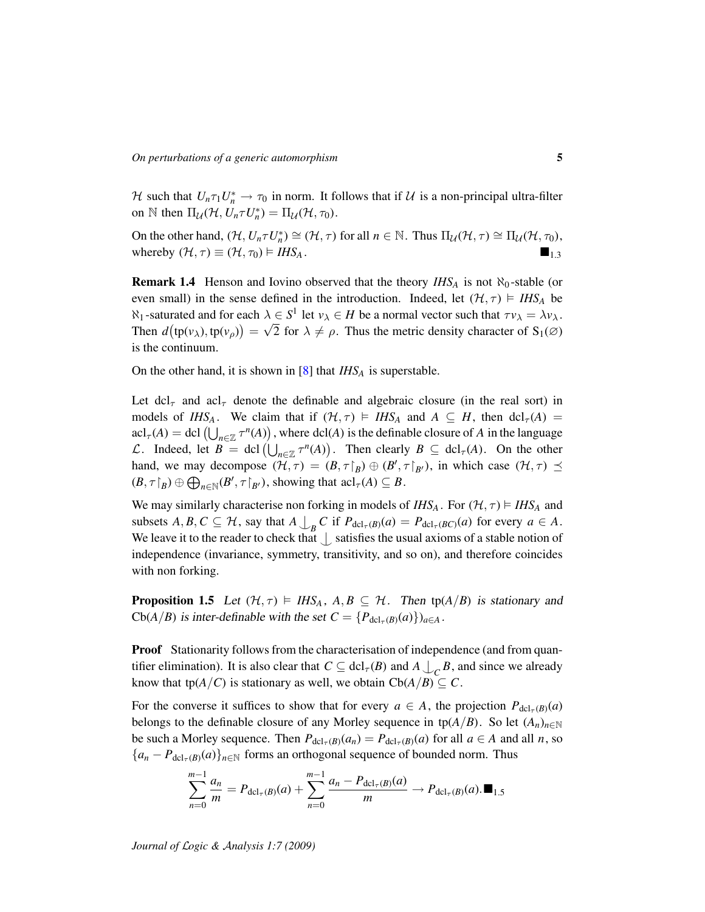H such that  $U_n \tau_1 U_n^* \to \tau_0$  in norm. It follows that if U is a non-principal ultra-filter on N then  $\Pi_{\mathcal{U}}(\mathcal{H}, U_n \tau U_n^*) = \Pi_{\mathcal{U}}(\mathcal{H}, \tau_0)$ .

On the other hand,  $(\mathcal{H}, U_n \tau U_n^*) \cong (\mathcal{H}, \tau)$  for all  $n \in \mathbb{N}$ . Thus  $\Pi_{\mathcal{U}}(\mathcal{H}, \tau) \cong \Pi_{\mathcal{U}}(\mathcal{H}, \tau_0)$ , whereby  $(\mathcal{H}, \tau) \equiv (\mathcal{H}, \tau_0) \models IHS_A$ .

**Remark 1.4** Henson and Iovino observed that the theory  $IHS_A$  is not  $\aleph_0$ -stable (or even small) in the sense defined in the introduction. Indeed, let  $(H, \tau) \models IHS_A$  be  $\aleph_1$ -saturated and for each  $\lambda \in S^1$  let  $v_\lambda \in H$  be a normal vector such that  $\tau v_\lambda = \lambda v_\lambda$ . Then  $d(\text{tp}(v_\lambda), \text{tp}(v_\rho)) = \sqrt{2}$  for  $\lambda \neq \rho$ . Thus the metric density character of  $S_1(\emptyset)$ is the continuum.

On the other hand, it is shown in [\[8\]](#page-16-9) that *IHS<sup>A</sup>* is superstable.

Let dcl<sub>r</sub> and acl<sub>r</sub> denote the definable and algebraic closure (in the real sort) in models of *IHS<sub>A</sub>*. We claim that if  $(H, \tau) \models IHS_A$  and  $A \subseteq H$ , then dcl<sub> $\tau(A)$ </sub> =  $\text{acl}_{\tau}(A) = \text{dcl}(\bigcup_{n \in \mathbb{Z}} \tau^n(A)),$  where  $\text{dcl}(A)$  is the definable closure of *A* in the language *L*. Indeed, let  $B = \text{dcl}(\bigcup_{n \in \mathbb{Z}} \tau^n(A))$ . Then clearly  $B \subseteq \text{dcl}_{\tau}(A)$ . On the other hand, we may decompose  $(\mathcal{H}, \tau) = (B, \tau|_B) \oplus (B', \tau|_{B'})$ , in which case  $(\mathcal{H}, \tau) \preceq$  $(B, \tau \upharpoonright_B) \oplus \bigoplus_{n \in \mathbb{N}} (B', \tau \upharpoonright_{B'}),$  showing that  $\text{acl}_{\tau}(A) \subseteq B$ .

We may similarly characterise non forking in models of  $IHS_A$ . For  $(\mathcal{H}, \tau) \models IHS_A$  and subsets  $A, B, C \subseteq H$ , say that  $A \bigcup_B C$  if  $P_{\text{dcl}_{\tau}(B)}(a) = P_{\text{dcl}_{\tau}(BC)}(a)$  for every  $a \in A$ . We leave it to the reader to check that  $\bigcup$  satisfies the usual axioms of a stable notion of independence (invariance, symmetry, transitivity, and so on), and therefore coincides with non forking.

**Proposition 1.5** Let  $(\mathcal{H}, \tau) \models \text{IHS}_A$ ,  $A, B \subseteq \mathcal{H}$ . Then tp( $A/B$ ) is stationary and  $\text{Cb}(A/B)$  is inter-definable with the set  $C = {P_{\text{dcl}_{\tau}(B)}(a)}_{a \in A}$ .

Proof Stationarity follows from the characterisation of independence (and from quantifier elimination). It is also clear that  $C \subseteq \text{dcl}_{\tau}(B)$  and  $A \bigcup_{C} B$ , and since we already know that tp( $A/C$ ) is stationary as well, we obtain  $Cb(A/B) \subseteq C$ .

For the converse it suffices to show that for every  $a \in A$ , the projection  $P_{\text{dcl}_{\tau}(B)}(a)$ belongs to the definable closure of any Morley sequence in tp( $A/B$ ). So let  $(A_n)_{n\in\mathbb{N}}$ be such a Morley sequence. Then  $P_{dcl_{\tau}(B)}(a_n) = P_{dcl_{\tau}(B)}(a)$  for all  $a \in A$  and all *n*, so  ${a_n - P_{\text{dcl}_{\tau}(B)}(a)}_{n \in \mathbb{N}}$  forms an orthogonal sequence of bounded norm. Thus

$$
\sum_{n=0}^{m-1} \frac{a_n}{m} = P_{\text{dcl}_{\tau}(B)}(a) + \sum_{n=0}^{m-1} \frac{a_n - P_{\text{dcl}_{\tau}(B)}(a)}{m} \to P_{\text{dcl}_{\tau}(B)}(a). \blacksquare_{1.5}
$$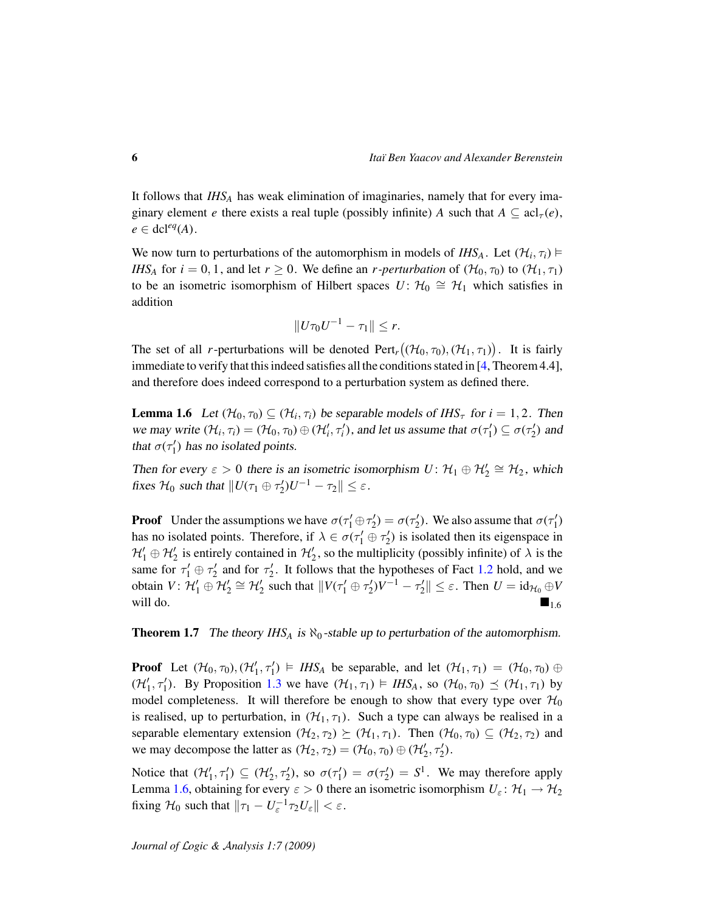It follows that *IHS<sup>A</sup>* has weak elimination of imaginaries, namely that for every imaginary element *e* there exists a real tuple (possibly infinite) *A* such that  $A \subseteq \text{acl}_{\tau}(e)$ ,  $e \in \text{dcl}^{eq}(A)$ .

We now turn to perturbations of the automorphism in models of *IHS*<sub>*A*</sub>. Let  $(\mathcal{H}_i, \tau_i) \models$ *IHS<sub>A</sub>* for  $i = 0, 1$ , and let  $r \ge 0$ . We define an *r*-perturbation of  $(\mathcal{H}_0, \tau_0)$  to  $(\mathcal{H}_1, \tau_1)$ to be an isometric isomorphism of Hilbert spaces  $U: \mathcal{H}_0 \cong \mathcal{H}_1$  which satisfies in addition

$$
||U\tau_0U^{-1}-\tau_1||\leq r.
$$

The set of all *r*-perturbations will be denoted  $\text{Pert}_r((\mathcal{H}_0, \tau_0), (\mathcal{H}_1, \tau_1))$ . It is fairly immediate to verify that this indeed satisfies all the conditions stated in [\[4,](#page-16-5) Theorem 4.4], and therefore does indeed correspond to a perturbation system as defined there.

<span id="page-5-0"></span>**Lemma 1.6** Let  $(\mathcal{H}_0, \tau_0) \subseteq (\mathcal{H}_i, \tau_i)$  be separable models of  $IHS_\tau$  for  $i = 1, 2$ . Then we may write  $(\mathcal{H}_i, \tau_i) = (\mathcal{H}_0, \tau_0) \oplus (\mathcal{H}'_i, \tau'_i)$ , and let us assume that  $\sigma(\tau'_1) \subseteq \sigma(\tau'_2)$  and that  $\sigma(\tau_1')$  has no isolated points.

Then for every  $\varepsilon > 0$  there is an isometric isomorphism  $U: \mathcal{H}_1 \oplus \mathcal{H}'_2 \cong \mathcal{H}_2$ , which fixes  $H_0$  such that  $||U(\tau_1 \oplus \tau_2')U^{-1} - \tau_2|| \leq \varepsilon$ .

**Proof** Under the assumptions we have  $\sigma(\tau_1' \oplus \tau_2') = \sigma(\tau_2')$ . We also assume that  $\sigma(\tau_1')$ has no isolated points. Therefore, if  $\lambda \in \sigma(\tau_1' \oplus \tau_2')$  is isolated then its eigenspace in  $\mathcal{H}'_1 \oplus \mathcal{H}'_2$  is entirely contained in  $\mathcal{H}'_2$ , so the multiplicity (possibly infinite) of  $\lambda$  is the same for  $\tau_1' \oplus \tau_2'$  and for  $\tau_2'$ . It follows that the hypotheses of Fact [1.2](#page-2-1) hold, and we obtain  $V: \mathcal{H}_1' \oplus \mathcal{H}_2' \cong \mathcal{H}_2'$  such that  $\|V(\tau_1' \oplus \tau_2')V^{-1} - \tau_2'\| \leq \varepsilon$ . Then  $U = id_{\mathcal{H}_0} \oplus V$ will do.

**Theorem 1.7** The theory  $IHS_A$  is  $\aleph_0$ -stable up to perturbation of the automorphism.

**Proof** Let  $(\mathcal{H}_0, \tau_0), (\mathcal{H}'_1, \tau'_1) \models \textit{IHS}_A$  be separable, and let  $(\mathcal{H}_1, \tau_1) = (\mathcal{H}_0, \tau_0) \oplus$  $(\mathcal{H}'_1, \tau'_1)$ . By Proposition [1.3](#page-3-0) we have  $(\mathcal{H}_1, \tau_1) \models \textit{IHS}_A$ , so  $(\mathcal{H}_0, \tau_0) \preceq (\mathcal{H}_1, \tau_1)$  by model completeness. It will therefore be enough to show that every type over  $\mathcal{H}_0$ is realised, up to perturbation, in  $(\mathcal{H}_1, \tau_1)$ . Such a type can always be realised in a separable elementary extension  $(\mathcal{H}_2, \tau_2) \succeq (\mathcal{H}_1, \tau_1)$ . Then  $(\mathcal{H}_0, \tau_0) \subseteq (\mathcal{H}_2, \tau_2)$  and we may decompose the latter as  $(\mathcal{H}_2, \tau_2) = (\mathcal{H}_0, \tau_0) \oplus (\mathcal{H}'_2, \tau'_2)$ .

Notice that  $(\mathcal{H}'_1, \tau'_1) \subseteq (\mathcal{H}'_2, \tau'_2)$ , so  $\sigma(\tau'_1) = \sigma(\tau'_2) = S^1$ . We may therefore apply Lemma [1.6,](#page-5-0) obtaining for every  $\varepsilon > 0$  there an isometric isomorphism  $U_{\varepsilon} : \mathcal{H}_1 \to \mathcal{H}_2$ fixing  $H_0$  such that  $\|\tau_1 - U_{\varepsilon}^{-1}\tau_2 U_{\varepsilon}\| < \varepsilon$ .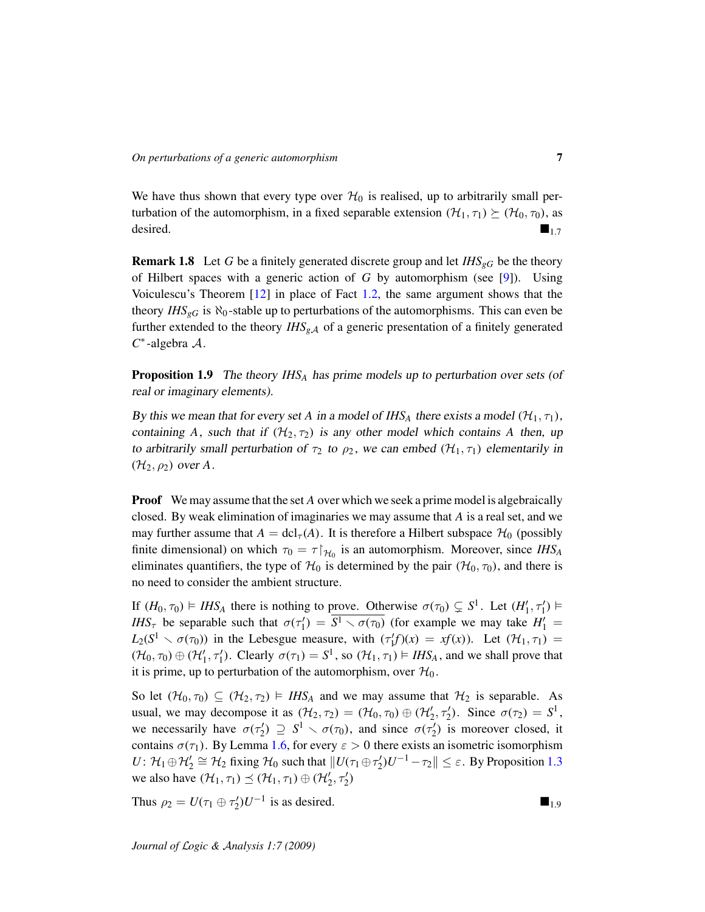We have thus shown that every type over  $H_0$  is realised, up to arbitrarily small perturbation of the automorphism, in a fixed separable extension  $(\mathcal{H}_1, \tau_1) \succeq (\mathcal{H}_0, \tau_0)$ , as desired.  $\blacksquare$ 

Remark 1.8 Let *G* be a finitely generated discrete group and let *IHSgG* be the theory of Hilbert spaces with a generic action of *G* by automorphism (see [\[9\]](#page-16-10)). Using Voiculescu's Theorem [\[12\]](#page-16-11) in place of Fact [1.2,](#page-2-1) the same argument shows that the theory *IHS*<sub>*gG*</sub> is  $\aleph_0$ -stable up to perturbations of the automorphisms. This can even be further extended to the theory  $IHS_{g,A}$  of a generic presentation of a finitely generated *C* ∗ -algebra A.

Proposition 1.9 The theory *IHS<sup>A</sup>* has prime models up to perturbation over sets (of real or imaginary elements).

By this we mean that for every set *A* in a model of *IHS<sub>A</sub>* there exists a model  $(\mathcal{H}_1, \tau_1)$ , containing *A*, such that if  $(H_2, \tau_2)$  is any other model which contains *A* then, up to arbitrarily small perturbation of  $\tau_2$  to  $\rho_2$ , we can embed  $(\mathcal{H}_1, \tau_1)$  elementarily in  $(\mathcal{H}_2, \rho_2)$  over A.

**Proof** We may assume that the set *A* over which we seek a prime model is algebraically closed. By weak elimination of imaginaries we may assume that *A* is a real set, and we may further assume that  $A = \text{dcl}_{\tau}(A)$ . It is therefore a Hilbert subspace  $\mathcal{H}_0$  (possibly finite dimensional) on which  $\tau_0 = \tau \upharpoonright_{\mathcal{H}_0}$  is an automorphism. Moreover, since *IHS<sub>A</sub>* eliminates quantifiers, the type of  $\mathcal{H}_0$  is determined by the pair  $(\mathcal{H}_0, \tau_0)$ , and there is no need to consider the ambient structure.

If  $(H_0, \tau_0) \models \textit{IHS}_A$  there is nothing to prove. Otherwise  $\sigma(\tau_0) \subsetneq S^1$ . Let  $(H'_1, \tau'_1) \models$ *IHS*<sup>τ</sup> be separable such that  $\sigma(\tau_1') = \overline{S^1 \setminus \sigma(\tau_0)}$  (for example we may take  $H_1' =$  $L_2(S^1 \setminus \sigma(\tau_0))$  in the Lebesgue measure, with  $(\tau_1^f f)(x) = x f(x)$ . Let  $(\mathcal{H}_1, \tau_1) =$  $(\mathcal{H}_0, \tau_0) \oplus (\mathcal{H}'_1, \tau'_1)$ . Clearly  $\sigma(\tau_1) = S^1$ , so  $(\mathcal{H}_1, \tau_1) \models \textit{IHS}_A$ , and we shall prove that it is prime, up to perturbation of the automorphism, over  $\mathcal{H}_0$ .

So let  $(\mathcal{H}_0, \tau_0) \subseteq (\mathcal{H}_2, \tau_2) \models \textit{IHS}_A$  and we may assume that  $\mathcal{H}_2$  is separable. As usual, we may decompose it as  $(\mathcal{H}_2, \tau_2) = (\mathcal{H}_0, \tau_0) \oplus (\mathcal{H}'_2, \tau'_2)$ . Since  $\sigma(\tau_2) = S^1$ , we necessarily have  $\sigma(\tau_2') \supseteq S^1 \setminus \sigma(\tau_0)$ , and since  $\sigma(\tau_2')$  is moreover closed, it contains  $\sigma(\tau_1)$ . By Lemma [1.6,](#page-5-0) for every  $\varepsilon > 0$  there exists an isometric isomorphism *U*:  $\mathcal{H}_1 \oplus \mathcal{H}_2' \cong \mathcal{H}_2$  fixing  $\mathcal{H}_0$  such that  $||U(\tau_1 \oplus \tau_2')U^{-1} - \tau_2|| \leq \varepsilon$ . By Proposition [1.3](#page-3-0) we also have  $(\mathcal{H}_1, \tau_1) \preceq (\mathcal{H}_1, \tau_1) \oplus (\mathcal{H}'_2, \tau'_2)$ 

Thus  $\rho_2 = U(\tau_1 \oplus \tau_2')U^{-1}$  is as desired.  $\blacksquare_{1,9}$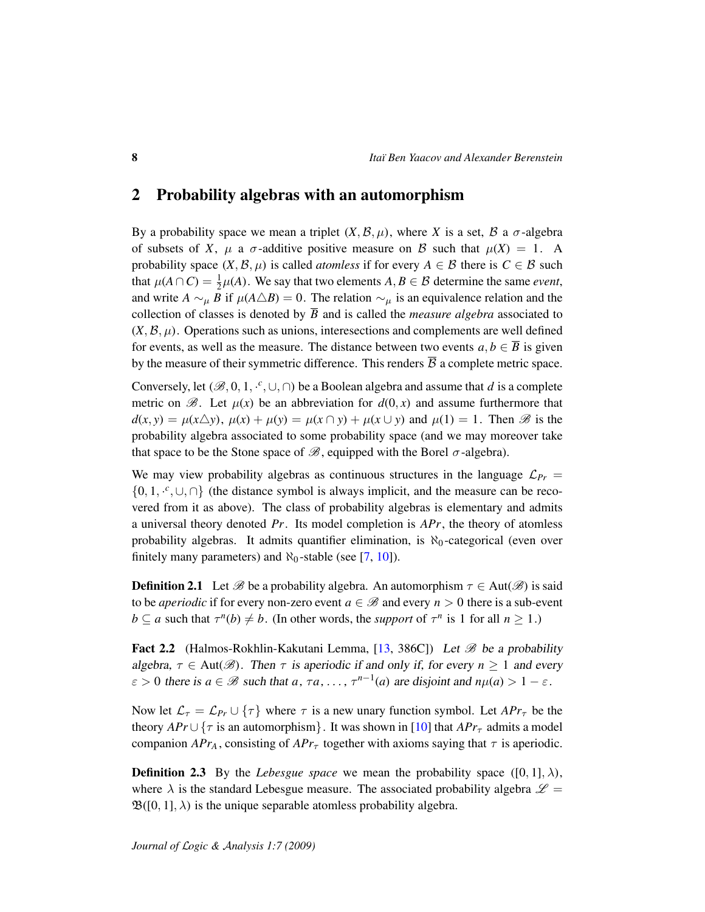## <span id="page-7-0"></span>2 Probability algebras with an automorphism

By a probability space we mean a triplet  $(X, \mathcal{B}, \mu)$ , where X is a set,  $\mathcal{B}$  a  $\sigma$ -algebra of subsets of *X*,  $\mu$  a  $\sigma$ -additive positive measure on *B* such that  $\mu(X) = 1$ . A probability space  $(X, \mathcal{B}, \mu)$  is called *atomless* if for every  $A \in \mathcal{B}$  there is  $C \in \mathcal{B}$  such that  $\mu(A \cap C) = \frac{1}{2}$  $\frac{1}{2}\mu(A)$ . We say that two elements  $A, B \in \mathcal{B}$  determine the same *event*, and write  $A \sim_{\mu} B$  if  $\mu(A \triangle B) = 0$ . The relation  $\sim_{\mu}$  is an equivalence relation and the collection of classes is denoted by  $\overline{B}$  and is called the *measure algebra* associated to  $(X, \mathcal{B}, \mu)$ . Operations such as unions, interesections and complements are well defined for events, as well as the measure. The distance between two events  $a, b \in \overline{B}$  is given by the measure of their symmetric difference. This renders  $\overline{B}$  a complete metric space.

Conversely, let  $(\mathscr{B}, 0, 1, \cdot^c, \cup, \cap)$  be a Boolean algebra and assume that *d* is a complete metric on  $\mathscr{B}$ . Let  $\mu(x)$  be an abbreviation for  $d(0, x)$  and assume furthermore that  $d(x, y) = \mu(x \triangle y)$ ,  $\mu(x) + \mu(y) = \mu(x \cap y) + \mu(x \cup y)$  and  $\mu(1) = 1$ . Then B is the probability algebra associated to some probability space (and we may moreover take that space to be the Stone space of  $\mathcal{B}$ , equipped with the Borel  $\sigma$ -algebra).

We may view probability algebras as continuous structures in the language  $\mathcal{L}_{Pr}$  =  $\{0, 1, \cdot^c, \cup, \cap\}$  (the distance symbol is always implicit, and the measure can be recovered from it as above). The class of probability algebras is elementary and admits a universal theory denoted *Pr*. Its model completion is *APr*, the theory of atomless probability algebras. It admits quantifier elimination, is  $\aleph_0$ -categorical (even over finitely many parameters) and  $\aleph_0$ -stable (see [\[7,](#page-16-1) [10\]](#page-16-7)).

**Definition 2.1** Let  $\mathscr B$  be a probability algebra. An automorphism  $\tau \in Aut(\mathscr B)$  is said to be *aperiodic* if for every non-zero event  $a \in \mathcal{B}$  and every  $n > 0$  there is a sub-event  $b \subseteq a$  such that  $\tau^n(b) \neq b$ . (In other words, the *support* of  $\tau^n$  is 1 for all  $n \ge 1$ .)

**Fact 2.2** (Halmos-Rokhlin-Kakutani Lemma, [\[13,](#page-16-13) 386C]) Let  $\mathcal{B}$  be a probability algebra,  $\tau \in$  Aut $(\mathscr{B})$ . Then  $\tau$  is aperiodic if and only if, for every  $n \geq 1$  and every  $\varepsilon > 0$  there is  $a \in \mathcal{B}$  such that  $a, \tau a, \ldots, \tau^{n-1}(a)$  are disjoint and  $n\mu(a) > 1 - \varepsilon$ .

Now let  $\mathcal{L}_{\tau} = \mathcal{L}_{Pr} \cup \{\tau\}$  where  $\tau$  is a new unary function symbol. Let  $APr_{\tau}$  be the theory  $APr \cup {\tau$  is an automorphism}. It was shown in [\[10\]](#page-16-7) that  $APr_{\tau}$  admits a model companion  $APr_A$ , consisting of  $APr_\tau$  together with axioms saying that  $\tau$  is aperiodic.

**Definition 2.3** By the *Lebesgue space* we mean the probability space  $([0, 1], \lambda)$ , where  $\lambda$  is the standard Lebesgue measure. The associated probability algebra  $\mathscr{L} =$  $\mathfrak{B}([0,1],\lambda)$  is the unique separable atomless probability algebra.

*Journal of* L*ogic &* A*nalysis 1:7 (2009)*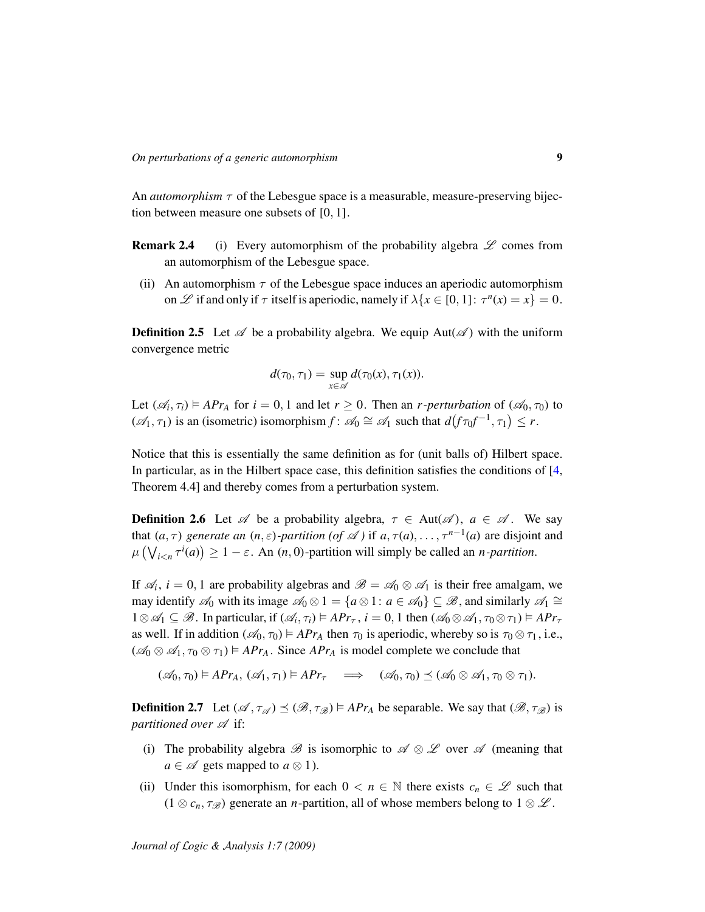An *automorphism*  $\tau$  of the Lebesgue space is a measurable, measure-preserving bijection between measure one subsets of [0, 1].

- **Remark 2.4** (i) Every automorphism of the probability algebra  $\mathscr L$  comes from an automorphism of the Lebesgue space.
	- (ii) An automorphism  $\tau$  of the Lebesgue space induces an aperiodic automorphism on  $\mathscr L$  if and only if  $\tau$  itself is aperiodic, namely if  $\lambda \{x \in [0, 1]: \tau^n(x) = x\} = 0$ .

**Definition 2.5** Let  $\mathscr A$  be a probability algebra. We equip Aut( $\mathscr A$ ) with the uniform convergence metric

$$
d(\tau_0, \tau_1) = \sup_{x \in \mathscr{A}} d(\tau_0(x), \tau_1(x)).
$$

Let  $(\mathcal{A}_i, \tau_i) \models APr_A$  for  $i = 0, 1$  and let  $r \ge 0$ . Then an *r*-perturbation of  $(\mathcal{A}_0, \tau_0)$  to  $(\mathscr{A}_1, \tau_1)$  is an (isometric) isomorphism  $f: \mathscr{A}_0 \cong \mathscr{A}_1$  such that  $d(f \tau_0 f^{-1}, \tau_1) \leq r$ .

Notice that this is essentially the same definition as for (unit balls of) Hilbert space. In particular, as in the Hilbert space case, this definition satisfies the conditions of [\[4,](#page-16-5) Theorem 4.4] and thereby comes from a perturbation system.

**Definition 2.6** Let  $\mathscr A$  be a probability algebra,  $\tau \in$  Aut $(\mathscr A)$ ,  $a \in \mathscr A$ . We say that  $(a, \tau)$  *generate an*  $(n, \varepsilon)$ *-partition* (*of*  $\mathscr A$ ) if  $a, \tau(a), \ldots, \tau^{n-1}(a)$  are disjoint and  $\mu\left(\bigvee_{i\leq n}\tau^i(a)\right)\geq 1-\varepsilon$ . An  $(n,0)$ -partition will simply be called an *n*-partition.

If  $\mathcal{A}_i$ ,  $i = 0, 1$  are probability algebras and  $\mathcal{B} = \mathcal{A}_0 \otimes \mathcal{A}_1$  is their free amalgam, we may identify  $\mathscr{A}_0$  with its image  $\mathscr{A}_0 \otimes 1 = \{a \otimes 1 : a \in \mathscr{A}_0\} \subseteq \mathscr{B}$ , and similarly  $\mathscr{A}_1 \cong$  $1 \otimes \mathcal{A}_1 \subseteq \mathcal{B}$ . In particular, if  $(\mathcal{A}_i, \tau_i) \models APr_{\tau}$ ,  $i = 0, 1$  then  $(\mathcal{A}_0 \otimes \mathcal{A}_1, \tau_0 \otimes \tau_1) \models APr_{\tau}$ as well. If in addition  $(\mathcal{A}_0, \tau_0) \models APr_A$  then  $\tau_0$  is aperiodic, whereby so is  $\tau_0 \otimes \tau_1$ , i.e.,  $(\mathcal{A}_0 \otimes \mathcal{A}_1, \tau_0 \otimes \tau_1) \models APr_A$ . Since  $APr_A$  is model complete we conclude that

 $(\mathscr{A}_0, \tau_0) \models \mathit{APr}_A, (\mathscr{A}_1, \tau_1) \models \mathit{APr}_\tau \implies (\mathscr{A}_0, \tau_0) \preceq (\mathscr{A}_0 \otimes \mathscr{A}_1, \tau_0 \otimes \tau_1).$ 

**Definition 2.7** Let  $(\mathscr{A}, \tau_{\mathscr{A}}) \preceq (\mathscr{B}, \tau_{\mathscr{B}}) \models APr_A$  be separable. We say that  $(\mathscr{B}, \tau_{\mathscr{B}})$  is *partitioned over*  $\mathscr A$  if:

- (i) The probability algebra  $\mathscr B$  is isomorphic to  $\mathscr A \otimes \mathscr L$  over  $\mathscr A$  (meaning that *a* ∈  $\mathscr A$  gets mapped to *a*  $\otimes$  1).
- (ii) Under this isomorphism, for each  $0 < n \in \mathbb{N}$  there exists  $c_n \in \mathcal{L}$  such that  $(1 \otimes c_n, \tau_{\mathscr{B}})$  generate an *n*-partition, all of whose members belong to  $1 \otimes \mathscr{L}$ .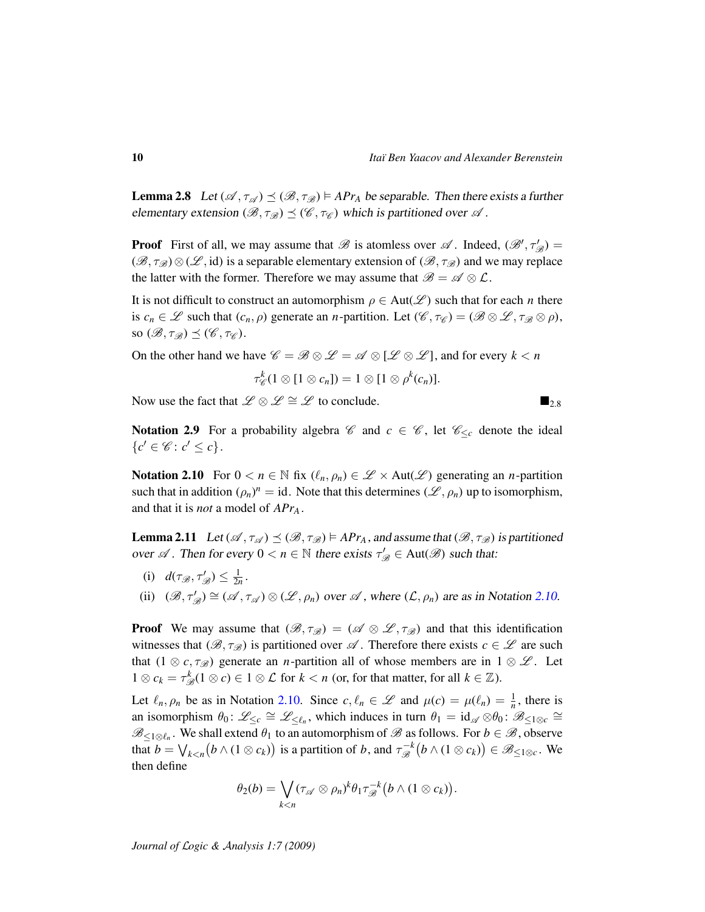<span id="page-9-1"></span>**Lemma 2.8** Let  $(\mathscr{A}, \tau_{\mathscr{A}}) \preceq (\mathscr{B}, \tau_{\mathscr{B}}) \models APr_A$  be separable. Then there exists a further elementary extension  $(\mathcal{B}, \tau_{\mathcal{B}}) \preceq (\mathcal{C}, \tau_{\mathcal{C}})$  which is partitioned over  $\mathcal{A}$ .

**Proof** First of all, we may assume that  $\mathscr{B}$  is atomless over  $\mathscr{A}$ . Indeed,  $(\mathscr{B}', \tau'_{\mathscr{B}})$  =  $(\mathscr{B}, \tau_{\mathscr{B}}) \otimes (\mathscr{L}, \text{id})$  is a separable elementary extension of  $(\mathscr{B}, \tau_{\mathscr{B}})$  and we may replace the latter with the former. Therefore we may assume that  $\mathscr{B} = \mathscr{A} \otimes \mathcal{L}$ .

It is not difficult to construct an automorphism  $\rho \in Aut(\mathscr{L})$  such that for each *n* there is  $c_n \in \mathcal{L}$  such that  $(c_n, \rho)$  generate an *n*-partition. Let  $(\mathcal{C}, \tau_{\mathcal{C}}) = (\mathcal{B} \otimes \mathcal{L}, \tau_{\mathcal{B}} \otimes \rho)$ , so  $(\mathscr{B}, \tau_{\mathscr{B}}) \preceq (\mathscr{C}, \tau_{\mathscr{C}}).$ 

On the other hand we have  $\mathscr{C} = \mathscr{B} \otimes \mathscr{L} = \mathscr{A} \otimes [\mathscr{L} \otimes \mathscr{L}]$ , and for every  $k < n$ 

$$
\tau_{\mathscr{C}}^k(1\otimes[1\otimes c_n])=1\otimes[1\otimes\rho^k(c_n)].
$$

Now use the fact that  $\mathscr{L} \otimes \mathscr{L} \cong \mathscr{L}$  to conclude.  $\blacksquare_{2,8}$ 

Notation 2.9 For a probability algebra  $\mathscr C$  and  $c \in \mathscr C$ , let  $\mathscr C_{\leq c}$  denote the ideal  $\{c' \in \mathscr{C} \colon c' \leq c\}.$ 

<span id="page-9-0"></span>Notation 2.10 For  $0 < n \in \mathbb{N}$  fix  $(\ell_n, \rho_n) \in \mathscr{L} \times \text{Aut}(\mathscr{L})$  generating an *n*-partition such that in addition  $(\rho_n)^n = id$ . Note that this determines  $(\mathscr{L}, \rho_n)$  up to isomorphism, and that it is *not* a model of *APr<sup>A</sup>* .

<span id="page-9-2"></span>**Lemma 2.11** Let  $(\mathscr{A}, \tau_{\mathscr{A}}) \preceq (\mathscr{B}, \tau_{\mathscr{B}}) \models APr_A$ , and assume that  $(\mathscr{B}, \tau_{\mathscr{B}})$  is partitioned over  $\mathscr A$ . Then for every  $0 < n \in \mathbb N$  there exists  $\tau'_{\mathscr B} \in$  Aut $(\mathscr B)$  such that:

- (i)  $d(\tau_{\mathscr{B}}, \tau_{\mathscr{B}}') \leq \frac{1}{2n}$ .
- (ii)  $(B, \tau'_{B}) \cong (A, \tau_{A}) \otimes (B, \rho_{n})$  over  $A$ , where  $(C, \rho_{n})$  are as in Notation [2.10.](#page-9-0)

**Proof** We may assume that  $(\mathscr{B}, \tau_{\mathscr{B}}) = (\mathscr{A} \otimes \mathscr{L}, \tau_{\mathscr{B}})$  and that this identification witnesses that  $(\mathscr{B}, \tau_{\mathscr{B}})$  is partitioned over  $\mathscr{A}$ . Therefore there exists  $c \in \mathscr{L}$  are such that  $(1 \otimes c, \tau_{\mathscr{B}})$  generate an *n*-partition all of whose members are in  $1 \otimes \mathscr{L}$ . Let  $1 \otimes c_k = \tau_{\mathscr{B}}^k(1 \otimes c) \in 1 \otimes \mathcal{L}$  for  $k < n$  (or, for that matter, for all  $k \in \mathbb{Z}$ ).

Let  $\ell_n, \rho_n$  be as in Notation [2.10.](#page-9-0) Since  $c, \ell_n \in \mathscr{L}$  and  $\mu(c) = \mu(\ell_n) = \frac{1}{n}$ , there is an isomorphism  $\theta_0: \mathscr{L}_{\leq c} \cong \mathscr{L}_{\leq \ell_n}$ , which induces in turn  $\theta_1 = id_{\mathscr{A}} \otimes \theta_0$ :  $\mathscr{B}_{\leq 1 \otimes c} \cong$  $\mathscr{B}_{\leq 1\otimes\ell_n}$ . We shall extend  $\theta_1$  to an automorphism of  $\mathscr{B}$  as follows. For  $b\in\mathscr{B}$ , observe that  $b = \bigvee_{k < n} \big(b \wedge (1 \otimes c_k)\big)$  is a partition of  $b$ , and  $\tau_{\mathscr{B}}^{-k}$  $\mathcal{B}_{\mathscr{B}}^{-k}(b\wedge(1\otimes c_k))\in\mathscr{B}_{\leq 1\otimes c}$ . We then define

$$
\theta_2(b)=\bigvee_{k
$$

*Journal of* L*ogic &* A*nalysis 1:7 (2009)*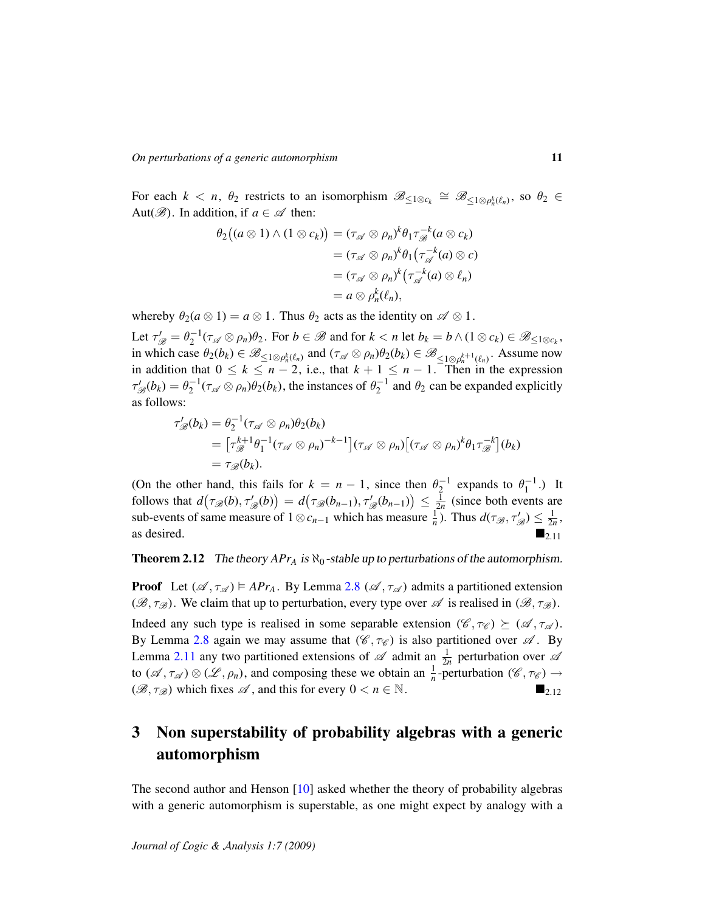For each  $k < n$ ,  $\theta_2$  restricts to an isomorphism  $\mathscr{B}_{\leq 1 \otimes c_k} \cong \mathscr{B}_{\leq 1 \otimes \rho_n^k(\ell_n)}$ , so  $\theta_2 \in$ Aut $(\mathscr{B})$ . In addition, if  $a \in \mathscr{A}$  then:

$$
\theta_2((a \otimes 1) \wedge (1 \otimes c_k)) = (\tau_{\mathscr{A}} \otimes \rho_n)^k \theta_1 \tau_{\mathscr{B}}^{-k}(a \otimes c_k)
$$
  

$$
= (\tau_{\mathscr{A}} \otimes \rho_n)^k \theta_1(\tau_{\mathscr{A}}^{-k}(a) \otimes c)
$$
  

$$
= (\tau_{\mathscr{A}} \otimes \rho_n)^k (\tau_{\mathscr{A}}^{-k}(a) \otimes \ell_n)
$$
  

$$
= a \otimes \rho_n^k(\ell_n),
$$

whereby  $\theta_2(a \otimes 1) = a \otimes 1$ . Thus  $\theta_2$  acts as the identity on  $\mathscr{A} \otimes 1$ .

Let  $\tau'_{\mathscr{B}} = \theta_2^{-1}(\tau_{\mathscr{A}} \otimes \rho_n)\theta_2$ . For  $b \in \mathscr{B}$  and for  $k < n$  let  $b_k = b \wedge (1 \otimes c_k) \in \mathscr{B}_{\leq 1 \otimes c_k}$ , in which case  $\theta_2(b_k) \in \mathscr{B}_{\leq 1 \otimes \rho_n^k(\ell_n)}$  and  $(\tau_{\mathscr{A}} \otimes \rho_n)\theta_2(b_k) \in \mathscr{B}_{\leq 1 \otimes \rho_n^{k+1}(\ell_n)}$ . Assume now in addition that  $0 \le k \le n-2$ , i.e., that  $k+1 \le n-1$ . Then in the expression  $\tau'_{\mathscr{B}}(b_k) = \theta_2^{-1}(\tau_{\mathscr{A}} \otimes \rho_n)\theta_2(b_k)$ , the instances of  $\theta_2^{-1}$  and  $\theta_2$  can be expanded explicitly as follows:

$$
\tau'_{\mathscr{B}}(b_k) = \theta_2^{-1}(\tau_{\mathscr{A}} \otimes \rho_n)\theta_2(b_k)
$$
  
=  $[\tau_{\mathscr{B}}^{k+1}\theta_1^{-1}(\tau_{\mathscr{A}} \otimes \rho_n)^{-k-1}](\tau_{\mathscr{A}} \otimes \rho_n)[(\tau_{\mathscr{A}} \otimes \rho_n)^k\theta_1\tau_{\mathscr{B}}^{-k}](b_k)$   
=  $\tau_{\mathscr{B}}(b_k)$ .

(On the other hand, this fails for  $k = n - 1$ , since then  $\theta_2^{-1}$  expands to  $\theta_1^{-1}$ .) It follows that  $d(\tau_{\mathscr{B}}(b), \tau_{\mathscr{B}}'(b)) = d(\tau_{\mathscr{B}}(b_{n-1}), \tau_{\mathscr{B}}'(b_{n-1})) \leq \frac{1}{2n}$  (since both events are sub-events of same measure of  $1 \otimes c_{n-1}$  which has measure  $\frac{1}{n}$ ). Thus  $d(\tau_{\mathscr{B}}, \tau_{\mathscr{B}}') \leq \frac{1}{2n}$ , as desired.  $\blacksquare$ 

**Theorem 2.12** The theory  $APr_A$  is  $\aleph_0$ -stable up to perturbations of the automorphism.

**Proof** Let  $(\mathcal{A}, \tau_{\mathcal{A}}) \models APr_A$ . By Lemma [2.8](#page-9-1)  $(\mathcal{A}, \tau_{\mathcal{A}})$  admits a partitioned extension  $(\mathscr{B}, \tau_{\mathscr{B}})$ . We claim that up to perturbation, every type over  $\mathscr{A}$  is realised in  $(\mathscr{B}, \tau_{\mathscr{B}})$ . Indeed any such type is realised in some separable extension  $(\mathscr{C}, \tau_{\mathscr{C}}) \succeq (\mathscr{A}, \tau_{\mathscr{A}})$ . By Lemma [2.8](#page-9-1) again we may assume that  $(\mathscr{C}, \tau_{\mathscr{C}})$  is also partitioned over  $\mathscr{A}$ . By Lemma [2.11](#page-9-2) any two partitioned extensions of  $\mathscr A$  admit an  $\frac{1}{2n}$  perturbation over  $\mathscr A$ to  $(\mathscr{A}, \tau_{\mathscr{A}}) \otimes (\mathscr{L}, \rho_n)$ , and composing these we obtain an  $\frac{1}{n}$ -perturbation  $(\mathscr{C}, \tau_{\mathscr{C}}) \to$  $(\mathscr{B}, \tau_{\mathscr{B}})$  which fixes  $\mathscr{A}$ , and this for every  $0 < n \in \mathbb{N}$ .

# <span id="page-10-0"></span>3 Non superstability of probability algebras with a generic automorphism

The second author and Henson [\[10\]](#page-16-7) asked whether the theory of probability algebras with a generic automorphism is superstable, as one might expect by analogy with a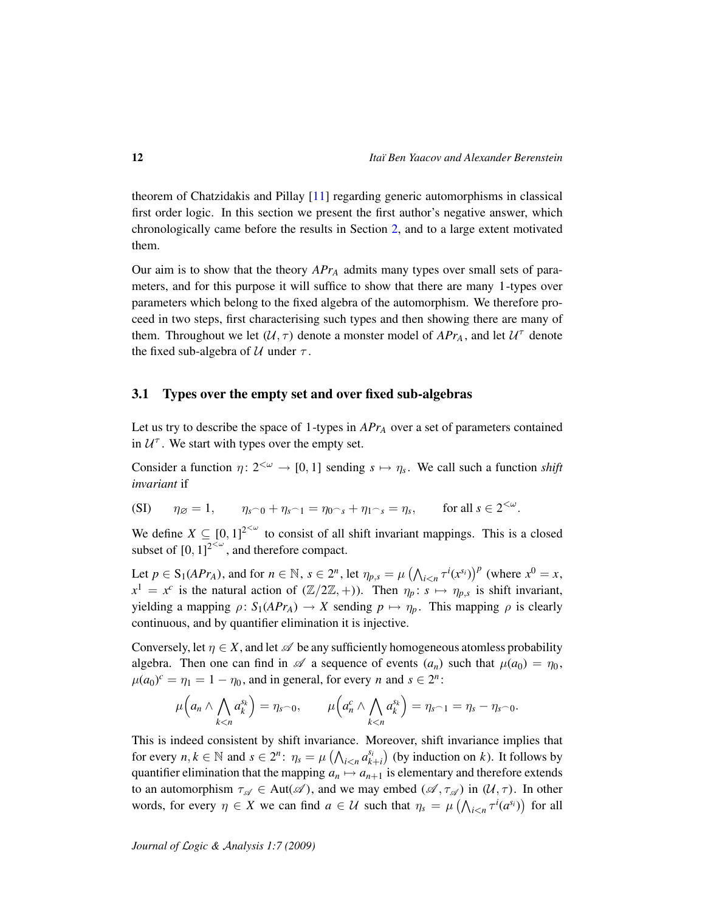theorem of Chatzidakis and Pillay [\[11\]](#page-16-0) regarding generic automorphisms in classical first order logic. In this section we present the first author's negative answer, which chronologically came before the results in Section [2,](#page-7-0) and to a large extent motivated them.

Our aim is to show that the theory *APr<sup>A</sup>* admits many types over small sets of parameters, and for this purpose it will suffice to show that there are many 1-types over parameters which belong to the fixed algebra of the automorphism. We therefore proceed in two steps, first characterising such types and then showing there are many of them. Throughout we let  $(U, \tau)$  denote a monster model of  $APr_A$ , and let  $U^{\tau}$  denote the fixed sub-algebra of  $U$  under  $\tau$ .

## 3.1 Types over the empty set and over fixed sub-algebras

Let us try to describe the space of 1-types in *APr<sup>A</sup>* over a set of parameters contained in  $U^{\dagger}$ . We start with types over the empty set.

Consider a function  $\eta: 2^{<\omega} \to [0, 1]$  sending  $s \mapsto \eta_s$ . We call such a function *shift invariant* if

<span id="page-11-0"></span>(SI) 
$$
\eta_{\emptyset} = 1
$$
,  $\eta_{s\cap 0} + \eta_{s\cap 1} = \eta_{0\cap s} + \eta_{1\cap s} = \eta_s$ , for all  $s \in 2^{<\omega}$ .

We define  $X \subseteq [0, 1]^{2 \leq \omega}$  to consist of all shift invariant mappings. This is a closed subset of  $[0, 1]^{2<\omega}$ , and therefore compact.

Let  $p \in S_1(APr_A)$ , and for  $n \in \mathbb{N}$ ,  $s \in 2^n$ , let  $\eta_{p,s} = \mu \left( \bigwedge_{i \leq n} \tau^i(x^{s_i}) \right)^p$  (where  $x^0 = x$ ,  $x^1 = x^c$  is the natural action of  $(\mathbb{Z}/2\mathbb{Z}, +)$ ). Then  $\eta_p : s \mapsto \eta_{p,s}$  is shift invariant, yielding a mapping  $\rho: S_1(APr_A) \to X$  sending  $p \mapsto \eta_p$ . This mapping  $\rho$  is clearly continuous, and by quantifier elimination it is injective.

Conversely, let  $\eta \in X$ , and let  $\mathscr A$  be any sufficiently homogeneous atomless probability algebra. Then one can find in  $\mathscr A$  a sequence of events  $(a_n)$  such that  $\mu(a_0) = \eta_0$ ,  $\mu(a_0)^c = \eta_1 = 1 - \eta_0$ , and in general, for every *n* and  $s \in 2^n$ :

$$
\mu\Big(a_n\wedge\bigwedge_{k
$$

This is indeed consistent by shift invariance. Moreover, shift invariance implies that for every  $n, k \in \mathbb{N}$  and  $s \in 2^n$ :  $\eta_s = \mu\left(\bigwedge_{i \leq n} a_{k+i}^{s_i}\right)$  (by induction on *k*). It follows by quantifier elimination that the mapping  $a_n \mapsto a_{n+1}$  is elementary and therefore extends to an automorphism  $\tau_{\mathscr{A}} \in Aut(\mathscr{A})$ , and we may embed  $(\mathscr{A}, \tau_{\mathscr{A}})$  in  $(\mathcal{U}, \tau)$ . In other words, for every  $\eta \in X$  we can find  $a \in \mathcal{U}$  such that  $\eta_s = \mu \left( \bigwedge_{i \leq n} \tau^i(a^{s_i}) \right)$  for all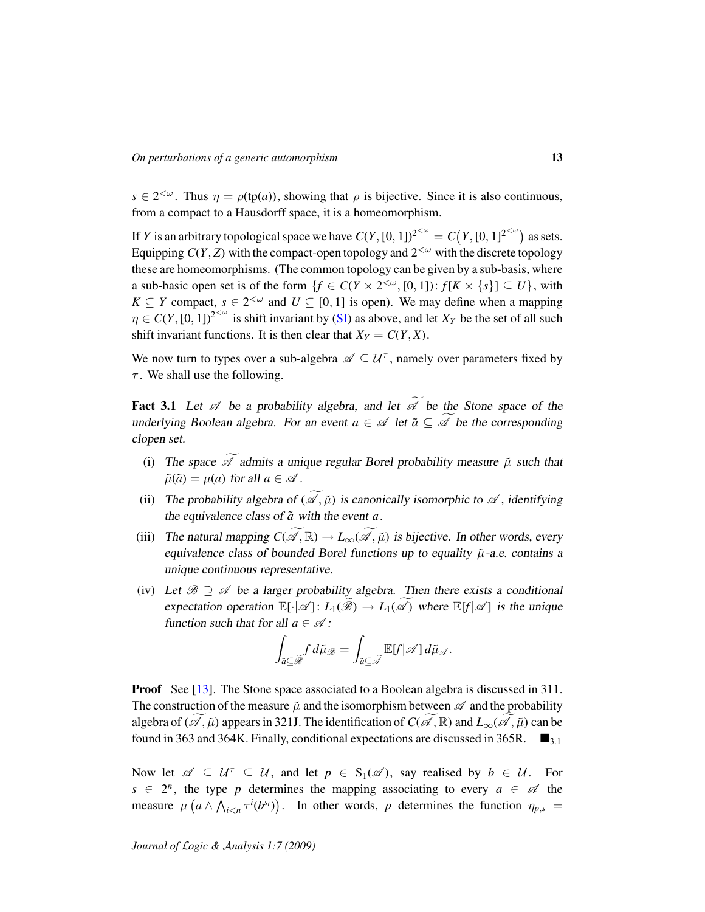$s \in 2^{<\omega}$ . Thus  $\eta = \rho(\text{tp}(a))$ , showing that  $\rho$  is bijective. Since it is also continuous, from a compact to a Hausdorff space, it is a homeomorphism.

If *Y* is an arbitrary topological space we have  $C(Y, [0, 1])^{2^{<\omega}} = C(Y, [0, 1]^{2^{<\omega}})$  as sets. Equipping  $C(Y, Z)$  with the compact-open topology and  $2<sup>{\omega}</sup>$  with the discrete topology these are homeomorphisms. (The common topology can be given by a sub-basis, where a sub-basic open set is of the form  $\{f \in C(Y \times 2^{\langle \omega \rangle}, [0, 1]) : f[K \times \{s\}] \subseteq U\}$ , with *K* ⊆ *Y* compact,  $s \in 2^{< \omega}$  and  $U \subseteq [0, 1]$  is open). We may define when a mapping  $\eta \in C(Y, [0, 1])^{2<\omega}$  is shift invariant by [\(SI\)](#page-11-0) as above, and let  $X_Y$  be the set of all such shift invariant functions. It is then clear that  $X_Y = C(Y, X)$ .

We now turn to types over a sub-algebra  $\mathscr{A} \subseteq \mathcal{U}^{\tau}$ , namely over parameters fixed by  $\tau$ . We shall use the following.

**Fact 3.1** Let  $\mathscr A$  be a probability algebra, and let  $\widetilde{\mathscr A}$  be the Stone space of the underlying Boolean algebra. For an event  $a \in \mathcal{A}$  let  $\tilde{a} \subseteq \tilde{\mathcal{A}}$  be the corresponding clopen set.

- (i) The space  $\widetilde{\mathcal{A}}$  admits a unique regular Borel probability measure  $\tilde{\mu}$  such that  $\tilde{\mu}(\tilde{a}) = \mu(a)$  for all  $a \in \mathcal{A}$ .
- (ii) The probability algebra of  $(\widetilde{\mathcal{A}}, \widetilde{\mu})$  is canonically isomorphic to  $\mathcal A$ , identifying the equivalence class of  $\tilde{a}$  with the event  $a$ .
- (iii) The natural mapping  $C(\widetilde{\mathscr{A}}, \mathbb{R}) \to L_{\infty}(\widetilde{\mathscr{A}}, \widetilde{\mu})$  is bijective. In other words, every equivalence class of bounded Borel functions up to equality  $\tilde{\mu}$ -a.e. contains a unique continuous representative.
- (iv) Let  $\mathcal{B} \supseteq \mathcal{A}$  be a larger probability algebra. Then there exists a conditional expectation operation  $\mathbb{E}[\cdot|\mathscr{A}]: L_1(\hat{\mathscr{B}}) \to L_1(\mathscr{A})$  where  $\mathbb{E}[f|\mathscr{A}]$  is the unique function such that for all  $a \in \mathcal{A}$ :

$$
\int_{\tilde{a}\subseteq\widetilde{\mathscr{A}}}f\,d\tilde{\mu}_{\mathscr{B}}=\int_{\tilde{a}\subseteq\widetilde{\mathscr{A}}}\mathbb{E}[f|\mathscr{A}]\,d\tilde{\mu}_{\mathscr{A}}.
$$

**Proof** See [\[13\]](#page-16-13). The Stone space associated to a Boolean algebra is discussed in 311. The construction of the measure  $\tilde{\mu}$  and the isomorphism between  $\mathscr A$  and the probability algebra of ( $\mathscr{A}, \tilde{\mu}$ ) appears in 321J. The identification of *C*( $\mathscr{A}, \mathbb{R}$ ) and  $L_{\infty}(\mathscr{A}, \tilde{\mu})$  can be found in 363 and 364K. Finally, conditional expectations are discussed in 365R.  $\blacksquare$ <sub>3.1</sub>

Now let  $\mathscr{A} \subseteq \mathcal{U}^{\top} \subseteq \mathcal{U}$ , and let  $p \in S_1(\mathscr{A})$ , say realised by  $b \in \mathcal{U}$ . For  $s \in 2^n$ , the type *p* determines the mapping associating to every  $a \in \mathcal{A}$  the measure  $\mu\left(a \wedge \bigwedge_{i \leq n} \tau^i(b^{s_i})\right)$ . In other words, p determines the function  $\eta_{p,s}$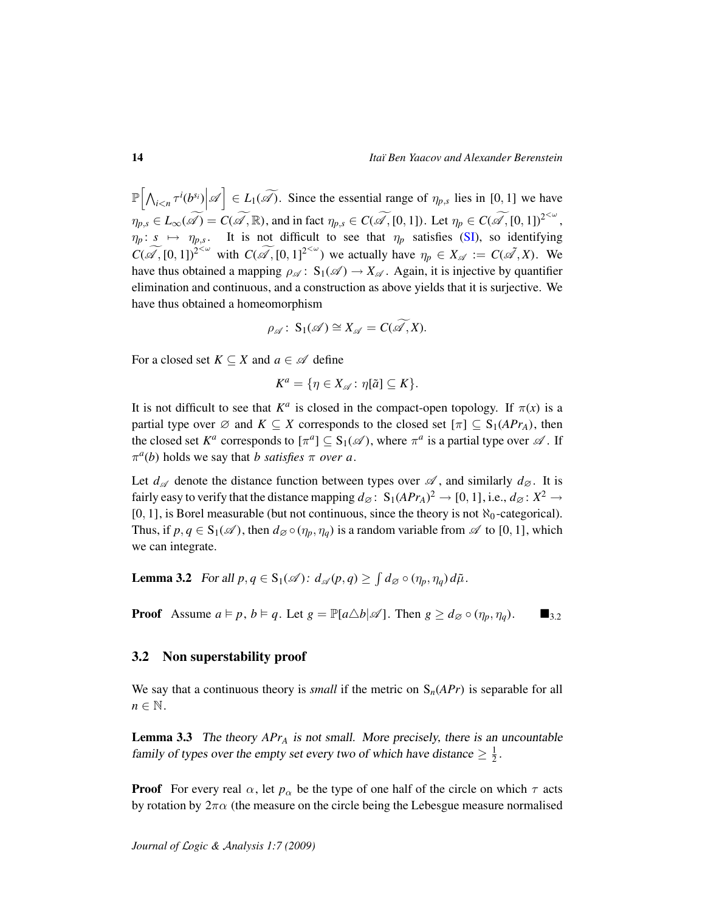$\mathbb{P}\left[\left|\bigwedge_{i\leq n}\tau^{i}(b^{s_i})\right|\mathscr{A}\right]\in L_1(\widetilde{\mathscr{A}})$ . Since the essential range of  $\eta_{p,s}$  lies in [0, 1] we have  $\eta_{p,s} \in L_{\infty}(\widetilde{\mathscr{A}}) = C(\widetilde{\mathscr{A}}, \mathbb{R})$ , and in fact  $\eta_{p,s} \in C(\widetilde{\mathscr{A}}, [0,1])$ . Let  $\eta_p \in C(\widetilde{\mathscr{A}}, [0,1])^{2<\omega}$ ,  $\eta_p: s \mapsto \eta_{p,s}$ . It is not difficult to see that  $\eta_p$  satisfies [\(SI\)](#page-11-0), so identifying  $C(\widetilde{\mathscr{A}}, [0, 1])^{2<\omega}$  with  $C(\widetilde{\mathscr{A}}, [0, 1]^{2<\omega})$  we actually have  $\eta_p \in X_{\mathscr{A}} := C(\widetilde{\mathscr{A}}, X)$ . We have thus obtained a mapping  $\rho_{\mathscr{A}}: S_1(\mathscr{A}) \to X_{\mathscr{A}}$ . Again, it is injective by quantifier elimination and continuous, and a construction as above yields that it is surjective. We have thus obtained a homeomorphism

$$
\rho_{\mathscr{A}}\colon S_1(\mathscr{A})\cong X_{\mathscr{A}}=C(\widetilde{\mathscr{A}},X).
$$

For a closed set  $K \subseteq X$  and  $a \in \mathcal{A}$  define

$$
K^a = \{ \eta \in X_{\mathscr{A}} \colon \eta[\tilde{a}] \subseteq K \}.
$$

It is not difficult to see that  $K^a$  is closed in the compact-open topology. If  $\pi(x)$  is a partial type over  $\emptyset$  and  $K \subseteq X$  corresponds to the closed set  $[\pi] \subseteq S_1(APr_A)$ , then the closed set  $K^a$  corresponds to  $[\pi^a] \subseteq S_1(\mathscr{A})$ , where  $\pi^a$  is a partial type over  $\mathscr{A}$ . If  $\pi^a(b)$  holds we say that *b satisfies*  $\pi$  *over a*.

Let  $d_{\mathscr{A}}$  denote the distance function between types over  $\mathscr{A}$ , and similarly  $d_{\mathscr{A}}$ . It is fairly easy to verify that the distance mapping  $d_{\varnothing} \colon S_1(APr_A)^2 \to [0,1]$ , i.e.,  $d_{\varnothing} \colon X^2 \to$ [0, 1], is Borel measurable (but not continuous, since the theory is not  $\aleph_0$ -categorical). Thus, if  $p, q \in S_1(\mathscr{A})$ , then  $d_{\mathscr{A}} \circ (\eta_p, \eta_q)$  is a random variable from  $\mathscr{A}$  to [0, 1], which we can integrate.

**Lemma 3.2** For all  $p, q \in S_1(\mathscr{A})$ :  $d_{\mathscr{A}}(p,q) \ge \int d_{\mathscr{A}} \circ (\eta_p, \eta_q) d\tilde{\mu}$ .

**Proof** Assume  $a \models p$ ,  $b \models q$ . Let  $g = \mathbb{P}[a \triangle b | \mathcal{A}]$ . Then  $g \geq d_{\mathcal{Q}} \circ (\eta_p, \eta_q)$ .  $\blacksquare_{3,2}$ 

### 3.2 Non superstability proof

We say that a continuous theory is *small* if the metric on  $S_n(APr)$  is separable for all  $n \in \mathbb{N}$ .

Lemma 3.3 The theory *APr<sup>A</sup>* is not small. More precisely, there is an uncountable family of types over the empty set every two of which have distance  $\geq \frac{1}{2}$  $\frac{1}{2}$ .

**Proof** For every real  $\alpha$ , let  $p_{\alpha}$  be the type of one half of the circle on which  $\tau$  acts by rotation by  $2\pi\alpha$  (the measure on the circle being the Lebesgue measure normalised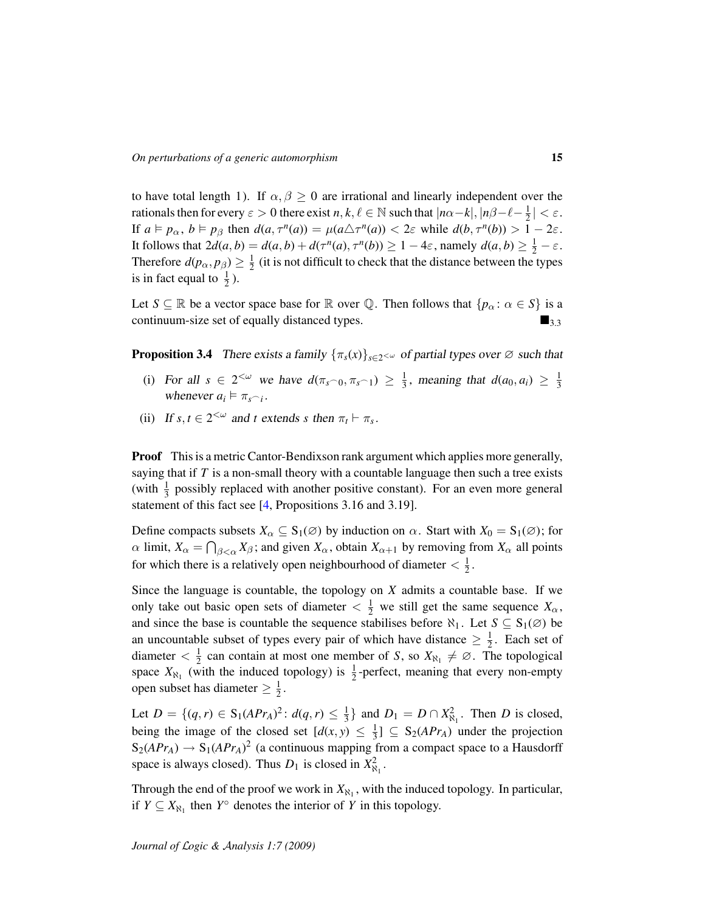to have total length 1). If  $\alpha, \beta \ge 0$  are irrational and linearly independent over the rationals then for every  $\varepsilon > 0$  there exist  $n, k, \ell \in \mathbb{N}$  such that  $|n\alpha-k|, |n\beta-\ell-\frac{1}{2}\ell|$  $\frac{1}{2}$  | <  $\varepsilon$ . If  $a \models p_\alpha$ ,  $b \models p_\beta$  then  $d(a, \tau^n(a)) = \mu(a \triangle \tau^n(a)) < 2\varepsilon$  while  $d(b, \tau^n(b)) > 1 - 2\varepsilon$ . It follows that  $2d(a, b) = d(a, b) + d(\tau^n(a), \tau^n(b)) \ge 1 - 4\varepsilon$ , namely  $d(a, b) \ge \frac{1}{2} - \varepsilon$ . Therefore  $d(p_\alpha, p_\beta) \geq \frac{1}{2}$  $\frac{1}{2}$  (it is not difficult to check that the distance between the types is in fact equal to  $\frac{1}{2}$ ).

Let  $S \subseteq \mathbb{R}$  be a vector space base for  $\mathbb{R}$  over  $\mathbb{Q}$ . Then follows that  $\{p_{\alpha} : \alpha \in S\}$  is a continuum-size set of equally distanced types.  $\blacksquare$ <sub>3.3</sub>

<span id="page-14-0"></span>**Proposition 3.4** There exists a family  $\{\pi_s(x)\}_{s\in 2} \sim \infty$  of partial types over  $\emptyset$  such that

- (i) For all  $s \in 2^{<\omega}$  we have  $d(\pi_{s^0} \circ \pi_{s^0} 1) \geq \frac{1}{3}$  $\frac{1}{3}$ , meaning that  $d(a_0, a_i) \geq \frac{1}{3}$ 3 whenever  $a_i \models \pi_{s \cap i}$ .
- (ii) If  $s, t \in 2^{<\omega}$  and *t* extends *s* then  $\pi_t \vdash \pi_s$ .

Proof This is a metric Cantor-Bendixson rank argument which applies more generally, saying that if *T* is a non-small theory with a countable language then such a tree exists (with  $\frac{1}{3}$  possibly replaced with another positive constant). For an even more general statement of this fact see [\[4,](#page-16-5) Propositions 3.16 and 3.19].

Define compacts subsets  $X_\alpha \subseteq S_1(\emptyset)$  by induction on  $\alpha$ . Start with  $X_0 = S_1(\emptyset)$ ; for  $\alpha$  limit,  $X_{\alpha} = \bigcap_{\beta < \alpha} X_{\beta}$ ; and given  $X_{\alpha}$ , obtain  $X_{\alpha+1}$  by removing from  $X_{\alpha}$  all points for which there is a relatively open neighbourhood of diameter  $\langle \frac{1}{2} \rangle$  $\frac{1}{2}$ .

Since the language is countable, the topology on *X* admits a countable base. If we only take out basic open sets of diameter  $\langle \frac{1}{2} \rangle$  we still get the same sequence  $X_{\alpha}$ , and since the base is countable the sequence stabilises before  $\aleph_1$ . Let  $S \subseteq S_1(\emptyset)$  be an uncountable subset of types every pair of which have distance  $\geq \frac{1}{2}$  $\frac{1}{2}$ . Each set of diameter  $\langle \frac{1}{2} \rangle$  $\frac{1}{2}$  can contain at most one member of *S*, so  $X_{\aleph_1} \neq \emptyset$ . The topological space  $X_{\aleph_1}$  (with the induced topology) is  $\frac{1}{2}$ -perfect, meaning that every non-empty open subset has diameter  $\geq \frac{1}{2}$  $\frac{1}{2}$ .

Let  $D = \{(q, r) \in S_1(APr_A)^2 : d(q, r) \leq \frac{1}{3}\}$  $\frac{1}{3}$  and  $D_1 = D \cap X_{\aleph_1}^2$ . Then *D* is closed, being the image of the closed set  $\lfloor d(x, y) \rfloor \leq \frac{1}{3}$  $\frac{1}{3}$ ]  $\subseteq S_2(APr_A)$  under the projection  $S_2(APr_A) \rightarrow S_1(APr_A)^2$  (a continuous mapping from a compact space to a Hausdorff space is always closed). Thus  $D_1$  is closed in  $X_{\aleph_1}^2$ .

Through the end of the proof we work in  $X_{\aleph_1}$ , with the induced topology. In particular, if  $Y \subseteq X_{\aleph_1}$  then  $Y^{\circ}$  denotes the interior of *Y* in this topology.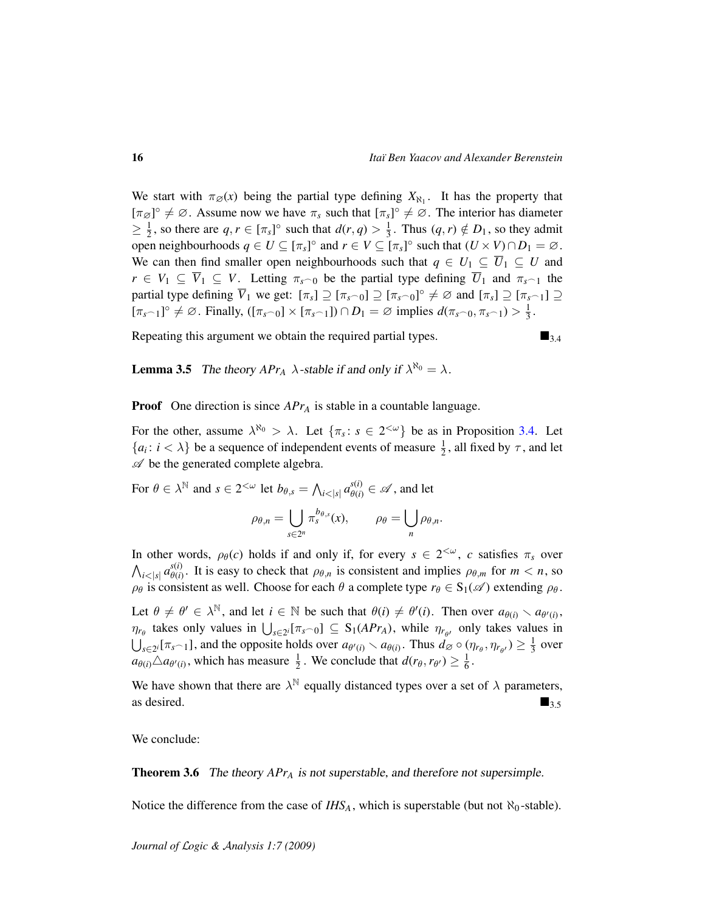We start with  $\pi_{\emptyset}(x)$  being the partial type defining  $X_{\aleph_1}$ . It has the property that  $[\pi_{\emptyset}]^{\circ} \neq \emptyset$ . Assume now we have  $\pi_s$  such that  $[\pi_s]^{\circ} \neq \emptyset$ . The interior has diameter  $\geq \frac{1}{2}$  $\frac{1}{2}$ , so there are  $q, r \in [\pi_s]^{\circ}$  such that  $d(r, q) > \frac{1}{3}$  $\frac{1}{3}$ . Thus  $(q, r) \notin D_1$ , so they admit open neighbourhoods  $q \in U \subseteq [\pi_s]^{\circ}$  and  $r \in V \subseteq [\pi_s]^{\circ}$  such that  $(U \times V) \cap D_1 = \emptyset$ . We can then find smaller open neighbourhoods such that  $q \in U_1 \subseteq \overline{U}_1 \subseteq U$  and  $r \in V_1 \subseteq \overline{V}_1 \subseteq V$ . Letting  $\pi_{s\cap 0}$  be the partial type defining  $\overline{U}_1$  and  $\pi_{s\cap 1}$  the partial type defining  $\overline{V}_1$  we get:  $[\pi_s] \supseteq [\pi_s \cap 0] \supseteq [\pi_s \cap 0] \supseteq \emptyset$  and  $[\pi_s] \supseteq [\pi_s \cap 1] \supseteq \emptyset$  $[\pi_{s-1}]^{\circ} \neq \emptyset$ . Finally,  $([\pi_{s-0}] \times [\pi_{s-1}]) \cap D_1 = \emptyset$  implies  $d(\pi_{s-0}, \pi_{s-1}) > \frac{1}{3}$  $\frac{1}{3}$ .

Repeating this argument we obtain the required partial types.  $\blacksquare_{3,4}$ 

**Lemma 3.5** The theory  $APr_A \lambda$ -stable if and only if  $\lambda^{\aleph_0} = \lambda$ .

**Proof** One direction is since *APr<sub>A</sub>* is stable in a countable language.

For the other, assume  $\lambda^{\aleph_0} > \lambda$ . Let  $\{\pi_s : s \in 2^{\lt \omega}\}\)$  be as in Proposition [3.4.](#page-14-0) Let  $\{a_i: i < \lambda\}$  be a sequence of independent events of measure  $\frac{1}{2}$ , all fixed by  $\tau$ , and let  $\mathscr A$  be the generated complete algebra.

For  $\theta \in \lambda^{\mathbb{N}}$  and  $s \in 2^{<\omega}$  let  $b_{\theta,s} = \bigwedge_{i<|s|} a_{\theta(i)}^{s(i)} \in \mathscr{A}$ , and let

$$
\rho_{\theta,n} = \bigcup_{s \in 2^n} \pi_s^{b_{\theta,s}}(x), \qquad \rho_{\theta} = \bigcup_n \rho_{\theta,n}.
$$

In other words,  $\rho_{\theta}(c)$  holds if and only if, for every  $s \in 2^{<\omega}$ , c satisfies  $\pi_s$  over  $\bigwedge_{i<|s|} a_{\theta(i)}^{s(i)}$  $\theta_{\theta(i)}^{s(i)}$ . It is easy to check that  $\rho_{\theta,n}$  is consistent and implies  $\rho_{\theta,m}$  for  $m < n$ , so  $\rho_{\theta}$  is consistent as well. Choose for each  $\theta$  a complete type  $r_{\theta} \in S_1(\mathscr{A})$  extending  $\rho_{\theta}$ .

Let  $\theta \neq \theta' \in \lambda^{\mathbb{N}}$ , and let  $i \in \mathbb{N}$  be such that  $\theta(i) \neq \theta'(i)$ . Then over  $a_{\theta(i)} \setminus a_{\theta'(i)}$ ,  $\eta_{r_{\theta}}$  takes only values in  $\bigcup_{s \in 2^i} [\pi_s \cap 0] \subseteq S_1(APr_A)$ , while  $\eta_{r_{\theta'}}$  only takes values in  $\bigcup_{s\in 2^i} [\pi_{s-1}]$ , and the opposite holds over  $a_{\theta'(i)} \setminus a_{\theta(i)}$ . Thus  $d_{\emptyset} \circ (\eta_{r_{\theta}}, \eta_{r_{\theta'}}) \geq \frac{1}{3}$  $rac{1}{3}$  over  $a_{\theta(i)} \triangle a_{\theta'(i)}$ , which has measure  $\frac{1}{2}$ . We conclude that  $d(r_{\theta}, r_{\theta'}) \ge \frac{1}{6}$  $\frac{1}{6}$ .

We have shown that there are  $\lambda^{\mathbb{N}}$  equally distanced types over a set of  $\lambda$  parameters, as desired.  $\blacksquare$ 

We conclude:

Theorem 3.6 The theory *APr<sup>A</sup>* is not superstable, and therefore not supersimple.

Notice the difference from the case of  $IHS_A$ , which is superstable (but not  $\aleph_0$ -stable).

*Journal of* L*ogic &* A*nalysis 1:7 (2009)*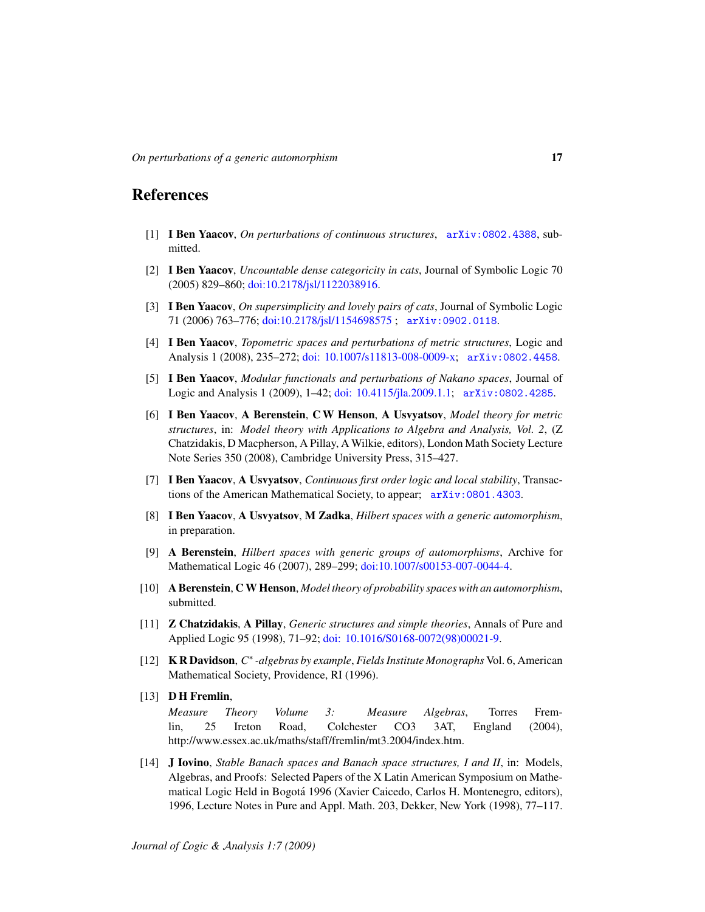# References

- <span id="page-16-8"></span>[1] I Ben Yaacov, *On perturbations of continuous structures*, [arXiv:0802.4388](http://arxiv.org/abs/0802.4388), submitted.
- <span id="page-16-4"></span>[2] I Ben Yaacov, *Uncountable dense categoricity in cats*, Journal of Symbolic Logic 70 (2005) 829–860; [doi:10.2178/jsl/1122038916.](http://dx.doi.org/10.2178/jsl/1122038916)
- <span id="page-16-6"></span>[3] I Ben Yaacov, *On supersimplicity and lovely pairs of cats*, Journal of Symbolic Logic 71 (2006) 763–776; [doi:10.2178/jsl/1154698575](http://dx.doi.org/10.2178/jsl/1154698575) ; [arXiv:0902.0118](http://arxiv.org/abs/0902.0118).
- <span id="page-16-5"></span>[4] I Ben Yaacov, *Topometric spaces and perturbations of metric structures*, Logic and Analysis 1 (2008), 235–272; [doi: 10.1007/s11813-008-0009-x;](http://dx.doi.org/10.1007/s11813-008-0009-x) [arXiv:0802.4458](http://arxiv.org/abs/0802.4458).
- <span id="page-16-12"></span>[5] I Ben Yaacov, *Modular functionals and perturbations of Nakano spaces*, Journal of Logic and Analysis 1 (2009), 1–42; [doi: 10.4115/jla.2009.1.1;](http://dx.doi.org/10.4115/jla.2009.1.1) [arXiv:0802.4285](http://arxiv.org/abs/0802.4285).
- <span id="page-16-2"></span>[6] I Ben Yaacov, A Berenstein, C W Henson, A Usvyatsov, *Model theory for metric structures*, in: *Model theory with Applications to Algebra and Analysis, Vol. 2*, (Z Chatzidakis, D Macpherson, A Pillay, A Wilkie, editors), London Math Society Lecture Note Series 350 (2008), Cambridge University Press, 315–427.
- <span id="page-16-1"></span>[7] I Ben Yaacov, A Usvyatsov, *Continuous first order logic and local stability*, Transactions of the American Mathematical Society, to appear; [arXiv:0801.4303](http://arxiv.org/abs/0801.4303).
- <span id="page-16-9"></span>[8] I Ben Yaacov, A Usvyatsov, M Zadka, *Hilbert spaces with a generic automorphism*, in preparation.
- <span id="page-16-10"></span>[9] A Berenstein, *Hilbert spaces with generic groups of automorphisms*, Archive for Mathematical Logic 46 (2007), 289–299; [doi:10.1007/s00153-007-0044-4.](http://dx.doi.org/10.1007/s00153-007-0044-4)
- <span id="page-16-7"></span>[10] A Berenstein, C W Henson, *Model theory of probability spaces with an automorphism*, submitted.
- <span id="page-16-0"></span>[11] Z Chatzidakis, A Pillay, *Generic structures and simple theories*, Annals of Pure and Applied Logic 95 (1998), 71–92; [doi: 10.1016/S0168-0072\(98\)00021-9.](http://dx.doi.org/10.1016/S0168-0072(98)00021-9)
- <span id="page-16-11"></span>[12] KR Davidson, C<sup>\*</sup>-algebras by example, Fields Institute Monographs Vol. 6, American Mathematical Society, Providence, RI (1996).
- <span id="page-16-13"></span>[13] **DH Fremlin,**

*Measure Theory Volume 3: Measure Algebras*, Torres Fremlin, 25 Ireton Road, Colchester CO3 3AT, England (2004), http://www.essex.ac.uk/maths/staff/fremlin/mt3.2004/index.htm.

<span id="page-16-3"></span>[14] J Iovino, *Stable Banach spaces and Banach space structures, I and II*, in: Models, Algebras, and Proofs: Selected Papers of the X Latin American Symposium on Mathematical Logic Held in Bogota 1996 (Xavier Caicedo, Carlos H. Montenegro, editors), ´ 1996, Lecture Notes in Pure and Appl. Math. 203, Dekker, New York (1998), 77–117.